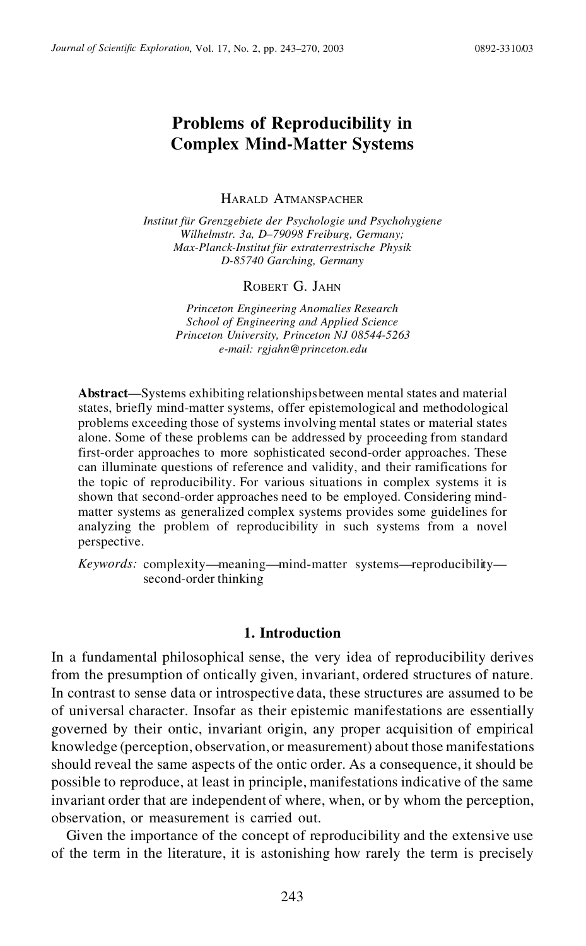# **Problems of Reproducibility in Complex Mind-Matter Systems**

HARALD ATMANSPACHER

*Institut für Grenzgebiete der Psychologie und Psychohygiene Wilhelmstr. 3a, D–79098 Freiburg, Germany; Max-Planck-Institut für extraterrestrische Physik D-85740 Garching, Germany*

ROBERT G. JAHN

*Princeton Engineering Anomalies Research School of Engineering and Applied Science Princeton University, Princeton NJ 08544-5263 e-mail: rgjahn@princeton.edu*

**Abstract**—Systems exhibiting relationshipsbetween mental states and material states, briefly mind-matter systems, offer epistemological and methodological problems exceeding those of systems involving mental states or material states alone. Some of these problems can be addressed by proceeding from standard first-order approaches to more sophisticated second-order approaches. These can illuminate questions of reference and validity, and their ramifications for the topic of reproducibility. For various situations in complex systems it is shown that second-order approaches need to be employed. Considering mindmatter systems as generalized complex systems provides some guidelines for analyzing the problem of reproducibility in such systems from a novel perspective.

*Keywords:* complexity—meaning—mind-matter systems—reproducibility second-order thinking

#### **1. Introduction**

In a fundamental philosophical sense, the very idea of reproducibility derives from the presumption of ontically given, invariant, ordered structures of nature. In contrast to sense data or introspective data, these structures are assumed to be of universal character. Insofar as their epistemic manifestations are essentially governed by their ontic, invariant origin, any proper acquisition of empirical knowledge (perception, observation, or measurement) about those manifestations should reveal the same aspects of the ontic order. As a consequence, it should be possible to reproduce, at least in principle, manifestations indicative of the same invariant order that are independent of where, when, or by whom the perception, observation, or measurement is carried out.

Given the importance of the concept of reproducibility and the extensive use of the term in the literature, it is astonishing how rarely the term is precisely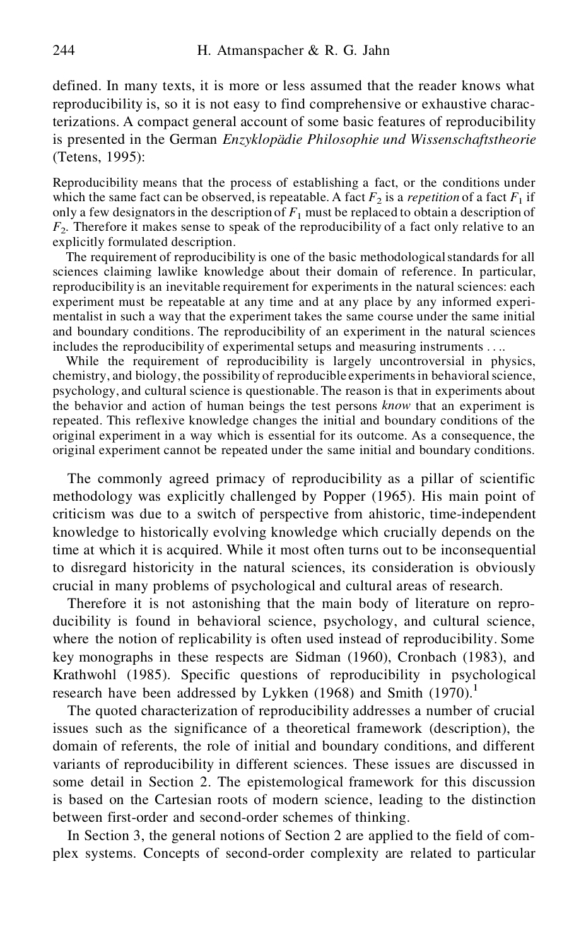defined. In many texts, it is more or less assumed that the reader knows what reproducibility is, so it is not easy to find comprehensive or exhaustive characterizations. A compact general account of some basic features of reproducibility is presented in the German *Enzyklopädie Philosophie und Wissenschaftstheorie* (Tetens, 1995):

Reproducibility means that the process of establishing a fact, or the conditions under which the same fact can be observed, is repeatable. A fact  $F_2$  is a *repetition* of a fact  $F_1$  if only a few designators in the description of  $F_1$  must be replaced to obtain a description of *F*<sup>2</sup> . Therefore it makes sense to speak of the reproducibility of a fact only relative to an explicitly formulated description.

The requirement of reproducibility is one of the basic methodological standards for all sciences claiming lawlike knowledge about their domain of reference. In particular, reproducibility is an inevitable requirement for experiments in the natural sciences: each experiment must be repeatable at any time and at any place by any informed experimentalist in such a way that the experiment takes the same course under the same initial and boundary conditions. The reproducibility of an experiment in the natural sciences includes the reproducibility of experimental setups and measuring instruments . . ..

While the requirement of reproducibility is largely uncontroversial in physics, chemistry, and biology, the possibility of reproducible experimentsin behavioralscience, psychology, and cultural science is questionable. The reason is that in experiments about the behavior and action of human beings the test persons *know* that an experiment is repeated. This reflexive knowledge changes the initial and boundary conditions of the original experiment in a way which is essential for its outcome. As a consequence, the original experiment cannot be repeated under the same initial and boundary conditions.

The commonly agreed primacy of reproducibility as a pillar of scientific methodology was explicitly challenged by Popper (1965). His main point of criticism was due to a switch of perspective from ahistoric, time-independent knowledge to historically evolving knowledge which crucially depends on the time at which it is acquired. While it most often turns out to be inconsequential to disregard historicity in the natural sciences, its consideration is obviously crucial in many problems of psychological and cultural areas of research.

Therefore it is not astonishing that the main body of literature on reproducibility is found in behavioral science, psychology, and cultural science, where the notion of replicability is often used instead of reproducibility. Some key monographs in these respects are Sidman (1960), Cronbach (1983), and Krathwohl (1985). Specific questions of reproducibility in psychological research have been addressed by Lykken (1968) and Smith (1970).<sup>1</sup>

The quoted characterization of reproducibility addresses a number of crucial issues such as the significance of a theoretical framework (description), the domain of referents, the role of initial and boundary conditions, and different variants of reproducibility in different sciences. These issues are discussed in some detail in Section 2. The epistemological framework for this discussion is based on the Cartesian roots of modern science, leading to the distinction between first-order and second-order schemes of thinking.

In Section 3, the general notions of Section 2 are applied to the field of complex systems. Concepts of second-order complexity are related to particular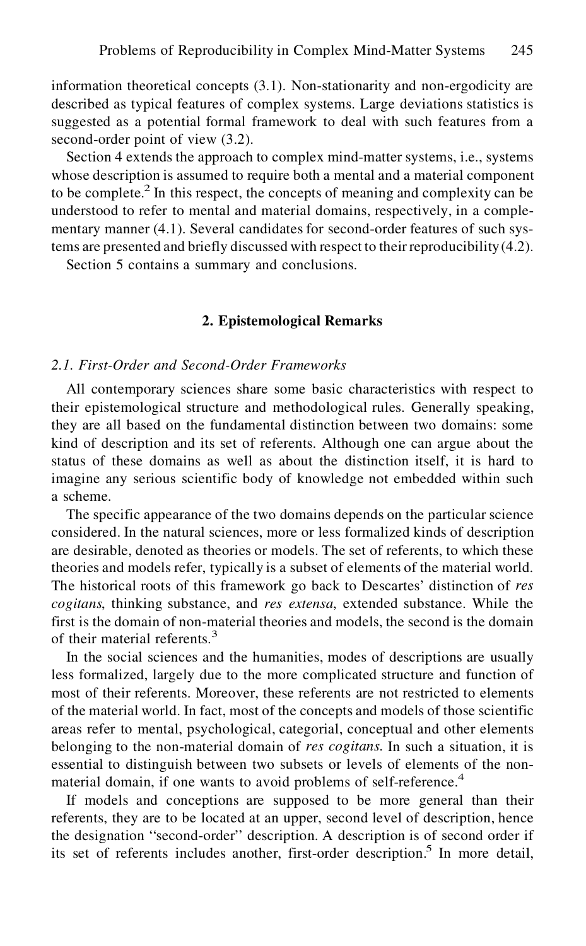information theoretical concepts (3.1). Non-stationarity and non-ergodicity are described as typical features of complex systems. Large deviations statistics is suggested as a potential formal framework to deal with such features from a second-order point of view (3.2).

Section 4 extends the approach to complex mind-matter systems, i.e., systems whose description is assumed to require both a mental and a material component to be complete.<sup>2</sup> In this respect, the concepts of meaning and complexity can be understood to refer to mental and material domains, respectively, in a complementary manner (4.1). Several candidates for second-order features of such systems are presented and briefly discussed with respect to their reproducibility(4.2).

Section 5 contains a summary and conclusions.

#### **2. Epistemological Remarks**

#### *2.1. First-Order and Second-Order Frameworks*

All contemporary sciences share some basic characteristics with respect to their epistemological structure and methodological rules. Generally speaking, they are all based on the fundamental distinction between two domains: some kind of description and its set of referents. Although one can argue about the status of these domains as well as about the distinction itself, it is hard to imagine any serious scientific body of knowledge not embedded within such a scheme.

The specific appearance of the two domains depends on the particular science considered. In the natural sciences, more or less formalized kinds of description are desirable, denoted as theories or models. The set of referents, to which these theories and models refer, typically is a subset of elements of the material world. The historical roots of this framework go back to Descartes' distinction of *res cogitans*, thinking substance, and *res extensa*, extended substance. While the first is the domain of non-material theories and models, the second is the domain of their material referents.<sup>3</sup>

In the social sciences and the humanities, modes of descriptions are usually less formalized, largely due to the more complicated structure and function of most of their referents. Moreover, these referents are not restricted to elements of the material world. In fact, most of the concepts and models of those scientific areas refer to mental, psychological, categorial, conceptual and other elements belonging to the non-material domain of *res cogitans.* In such a situation, it is essential to distinguish between two subsets or levels of elements of the nonmaterial domain, if one wants to avoid problems of self-reference.<sup>4</sup>

If models and conceptions are supposed to be more general than their referents, they are to be located at an upper, second level of description, hence the designation ''second-order'' description. A description is of second order if its set of referents includes another, first-order description.<sup>5</sup> In more detail,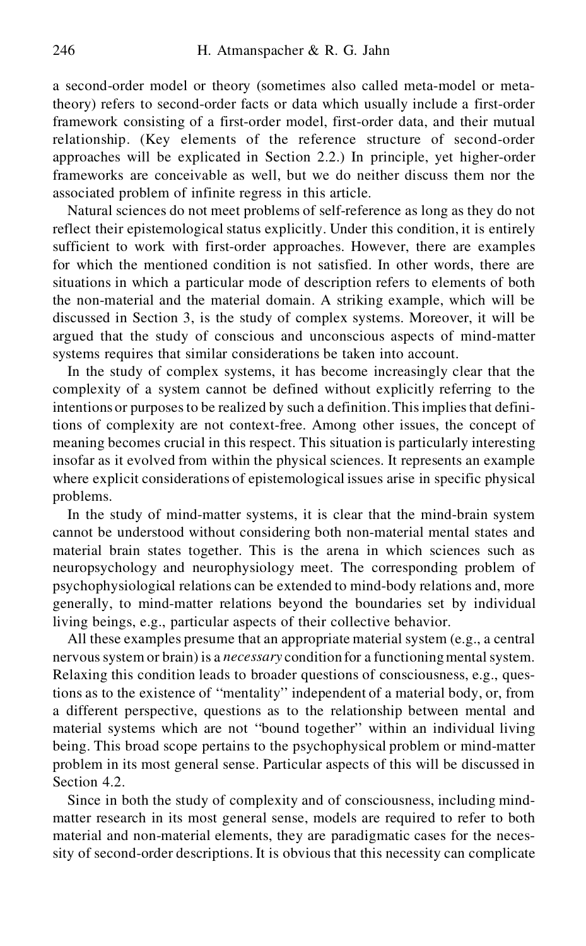a second-order model or theory (sometimes also called meta-model or metatheory) refers to second-order facts or data which usually include a first-order framework consisting of a first-order model, first-order data, and their mutual relationship. (Key elements of the reference structure of second-order approaches will be explicated in Section 2.2.) In principle, yet higher-order frameworks are conceivable as well, but we do neither discuss them nor the associated problem of infinite regress in this article.

Natural sciences do not meet problems of self-reference as long as they do not reflect their epistemological status explicitly. Under this condition, it is entirely sufficient to work with first-order approaches. However, there are examples for which the mentioned condition is not satisfied. In other words, there are situations in which a particular mode of description refers to elements of both the non-material and the material domain. A striking example, which will be discussed in Section 3, is the study of complex systems. Moreover, it will be argued that the study of conscious and unconscious aspects of mind-matter systems requires that similar considerations be taken into account.

In the study of complex systems, it has become increasingly clear that the complexity of a system cannot be defined without explicitly referring to the intentions or purposesto be realized by such a definition.Thisimpliesthat definitions of complexity are not context-free. Among other issues, the concept of meaning becomes crucial in this respect. This situation is particularly interesting insofar as it evolved from within the physical sciences. It represents an example where explicit considerations of epistemological issues arise in specific physical problems.

In the study of mind-matter systems, it is clear that the mind-brain system cannot be understood without considering both non-material mental states and material brain states together. This is the arena in which sciences such as neuropsychology and neurophysiology meet. The corresponding problem of psychophysiological relations can be extended to mind-body relations and, more generally, to mind-matter relations beyond the boundaries set by individual living beings, e.g., particular aspects of their collective behavior.

All these examples presume that an appropriate material system (e.g., a central nervous system or brain) is a *necessary* condition for a functioning mental system. Relaxing this condition leads to broader questions of consciousness, e.g., questions as to the existence of ''mentality'' independent of a material body, or, from a different perspective, questions as to the relationship between mental and material systems which are not ''bound together'' within an individual living being. This broad scope pertains to the psychophysical problem or mind-matter problem in its most general sense. Particular aspects of this will be discussed in Section 4.2.

Since in both the study of complexity and of consciousness, including mindmatter research in its most general sense, models are required to refer to both material and non-material elements, they are paradigmatic cases for the necessity of second-order descriptions. It is obvious that this necessity can complicate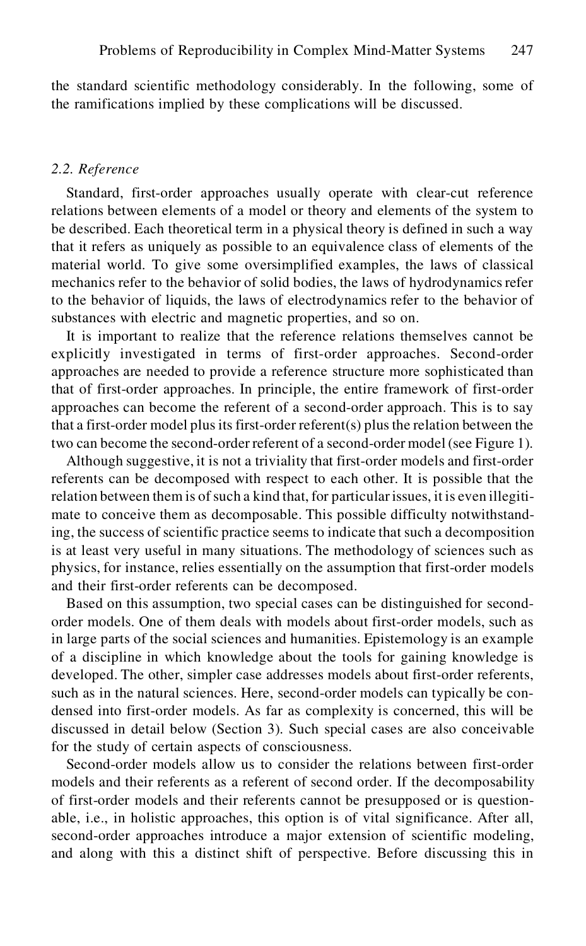the standard scientific methodology considerably. In the following, some of the ramifications implied by these complications will be discussed.

#### *2.2. Reference*

Standard, first-order approaches usually operate with clear-cut reference relations between elements of a model or theory and elements of the system to be described. Each theoretical term in a physical theory is defined in such a way that it refers as uniquely as possible to an equivalence class of elements of the material world. To give some oversimplified examples, the laws of classical mechanics refer to the behavior of solid bodies, the laws of hydrodynamics refer to the behavior of liquids, the laws of electrodynamics refer to the behavior of substances with electric and magnetic properties, and so on.

It is important to realize that the reference relations themselves cannot be explicitly investigated in terms of first-order approaches. Second-order approaches are needed to provide a reference structure more sophisticated than that of first-order approaches. In principle, the entire framework of first-order approaches can become the referent of a second-order approach. This is to say that a first-order model plus its first-order referent(s) plus the relation between the two can become the second-order referent of a second-order model(see Figure 1).

Although suggestive, it is not a triviality that first-order models and first-order referents can be decomposed with respect to each other. It is possible that the relation between them is of such a kind that, for particular issues, it is even illegitimate to conceive them as decomposable. This possible difficulty notwithstanding, the success of scientific practice seems to indicate that such a decomposition is at least very useful in many situations. The methodology of sciences such as physics, for instance, relies essentially on the assumption that first-order models and their first-order referents can be decomposed.

Based on this assumption, two special cases can be distinguished for secondorder models. One of them deals with models about first-order models, such as in large parts of the social sciences and humanities. Epistemology is an example of a discipline in which knowledge about the tools for gaining knowledge is developed. The other, simpler case addresses models about first-order referents, such as in the natural sciences. Here, second-order models can typically be condensed into first-order models. As far as complexity is concerned, this will be discussed in detail below (Section 3). Such special cases are also conceivable for the study of certain aspects of consciousness.

Second-order models allow us to consider the relations between first-order models and their referents as a referent of second order. If the decomposability of first-order models and their referents cannot be presupposed or is questionable, i.e., in holistic approaches, this option is of vital significance. After all, second-order approaches introduce a major extension of scientific modeling, and along with this a distinct shift of perspective. Before discussing this in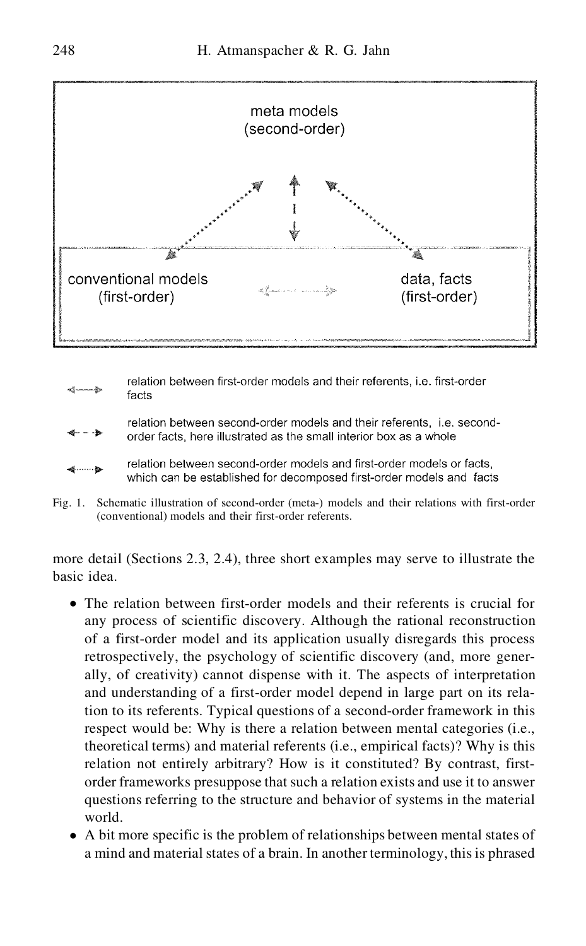



Fig. 1. Schematic illustration of second-order (meta-) models and their relations with first-order (conventional) models and their first-order referents.

more detail (Sections 2.3, 2.4), three short examples may serve to illustrate the basic idea.

- ° The relation between first-order models and their referents is crucial for any process of scientific discovery. Although the rational reconstruction of a first-order model and its application usually disregards this process retrospectively, the psychology of scientific discovery (and, more generally, of creativity) cannot dispense with it. The aspects of interpretation and understanding of a first-order model depend in large part on its relation to its referents. Typical questions of a second-order framework in this respect would be: Why is there a relation between mental categories (i.e., theoretical terms) and material referents (i.e., empirical facts)? Why is this relation not entirely arbitrary? How is it constituted? By contrast, firstorder frameworks presuppose that such a relation exists and use it to answer questions referring to the structure and behavior of systems in the material world.
- A bit more specific is the problem of relationships between mental states of a mind and material states of a brain. In another terminology, this is phrased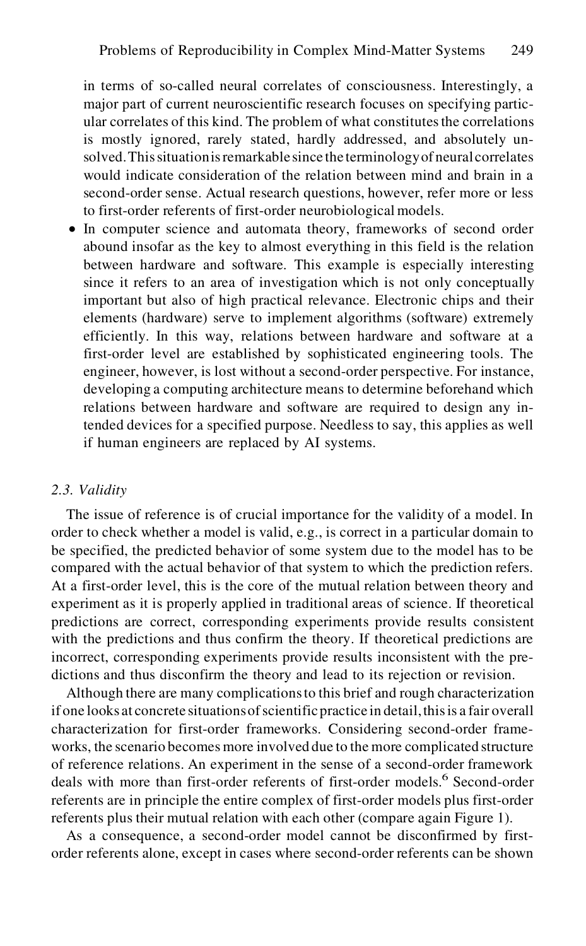in terms of so-called neural correlates of consciousness. Interestingly, a major part of current neuroscientific research focuses on specifying particular correlates of this kind. The problem of what constitutes the correlations is mostly ignored, rarely stated, hardly addressed, and absolutely unsolved. This situation is remarkable since the terminology of neural correlates would indicate consideration of the relation between mind and brain in a second-order sense. Actual research questions, however, refer more or less to first-order referents of first-order neurobiological models.

• In computer science and automata theory, frameworks of second order abound insofar as the key to almost everything in this field is the relation between hardware and software. This example is especially interesting since it refers to an area of investigation which is not only conceptually important but also of high practical relevance. Electronic chips and their elements (hardware) serve to implement algorithms (software) extremely efficiently. In this way, relations between hardware and software at a first-order level are established by sophisticated engineering tools. The engineer, however, is lost without a second-order perspective. For instance, developing a computing architecture means to determine beforehand which relations between hardware and software are required to design any intended devices for a specified purpose. Needless to say, this applies as well if human engineers are replaced by AI systems.

#### *2.3. Validity*

The issue of reference is of crucial importance for the validity of a model. In order to check whether a model is valid, e.g., is correct in a particular domain to be specified, the predicted behavior of some system due to the model has to be compared with the actual behavior of that system to which the prediction refers. At a first-order level, this is the core of the mutual relation between theory and experiment as it is properly applied in traditional areas of science. If theoretical predictions are correct, corresponding experiments provide results consistent with the predictions and thus confirm the theory. If theoretical predictions are incorrect, corresponding experiments provide results inconsistent with the predictions and thus disconfirm the theory and lead to its rejection or revision.

Although there are many complicationsto this brief and rough characterization if one looks at concrete situations of scientific practice in detail, this is a fair overall characterization for first-order frameworks. Considering second-order frameworks, the scenario becomes more involved due to the more complicated structure of reference relations. An experiment in the sense of a second-order framework deals with more than first-order referents of first-order models.<sup>6</sup> Second-order referents are in principle the entire complex of first-order models plus first-order referents plus their mutual relation with each other (compare again Figure 1).

As a consequence, a second-order model cannot be disconfirmed by firstorder referents alone, except in cases where second-order referents can be shown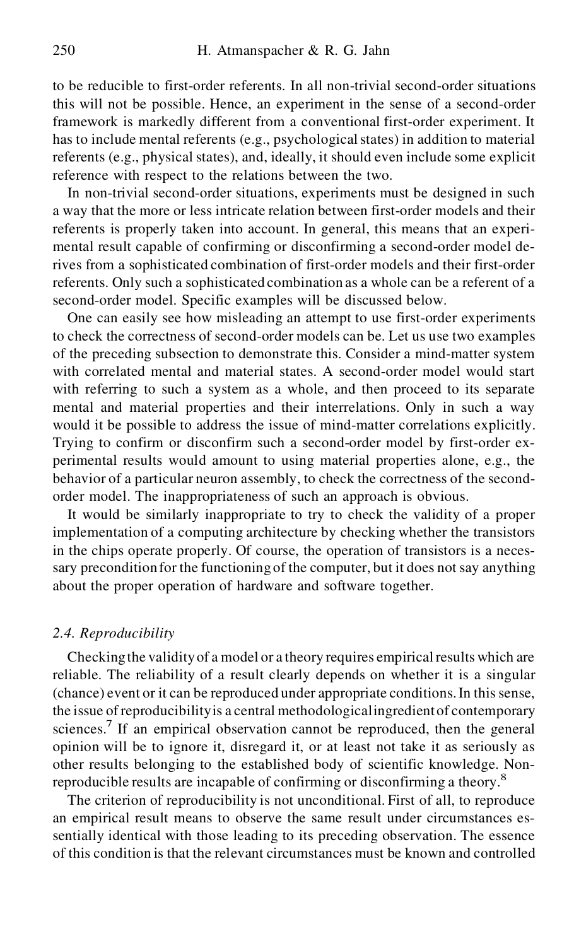to be reducible to first-order referents. In all non-trivial second-order situations this will not be possible. Hence, an experiment in the sense of a second-order framework is markedly different from a conventional first-order experiment. It has to include mental referents (e.g., psychological states) in addition to material referents (e.g., physical states), and, ideally, it should even include some explicit reference with respect to the relations between the two.

In non-trivial second-order situations, experiments must be designed in such a way that the more or less intricate relation between first-order models and their referents is properly taken into account. In general, this means that an experimental result capable of confirming or disconfirming a second-order model derives from a sophisticated combination of first-order models and their first-order referents. Only such a sophisticated combination as a whole can be a referent of a second-order model. Specific examples will be discussed below.

One can easily see how misleading an attempt to use first-order experiments to check the correctness of second-order models can be. Let us use two examples of the preceding subsection to demonstrate this. Consider a mind-matter system with correlated mental and material states. A second-order model would start with referring to such a system as a whole, and then proceed to its separate mental and material properties and their interrelations. Only in such a way would it be possible to address the issue of mind-matter correlations explicitly. Trying to confirm or disconfirm such a second-order model by first-order experimental results would amount to using material properties alone, e.g., the behavior of a particular neuron assembly, to check the correctness of the secondorder model. The inappropriateness of such an approach is obvious.

It would be similarly inappropriate to try to check the validity of a proper implementation of a computing architecture by checking whether the transistors in the chips operate properly. Of course, the operation of transistors is a necessary preconditionfor the functioningof the computer, but it does not say anything about the proper operation of hardware and software together.

#### *2.4. Reproducibility*

Checking the validity of a model or a theory requires empirical results which are reliable. The reliability of a result clearly depends on whether it is a singular (chance) event or it can be reproduced under appropriate conditions. In this sense, the issue of reproducibilityis a central methodologicalingredientof contemporary sciences.<sup>7</sup> If an empirical observation cannot be reproduced, then the general opinion will be to ignore it, disregard it, or at least not take it as seriously as other results belonging to the established body of scientific knowledge. Nonreproducible results are incapable of confirming or disconfirming a theory.<sup>8</sup>

The criterion of reproducibility is not unconditional. First of all, to reproduce an empirical result means to observe the same result under circumstances essentially identical with those leading to its preceding observation. The essence of this condition is that the relevant circumstances must be known and controlled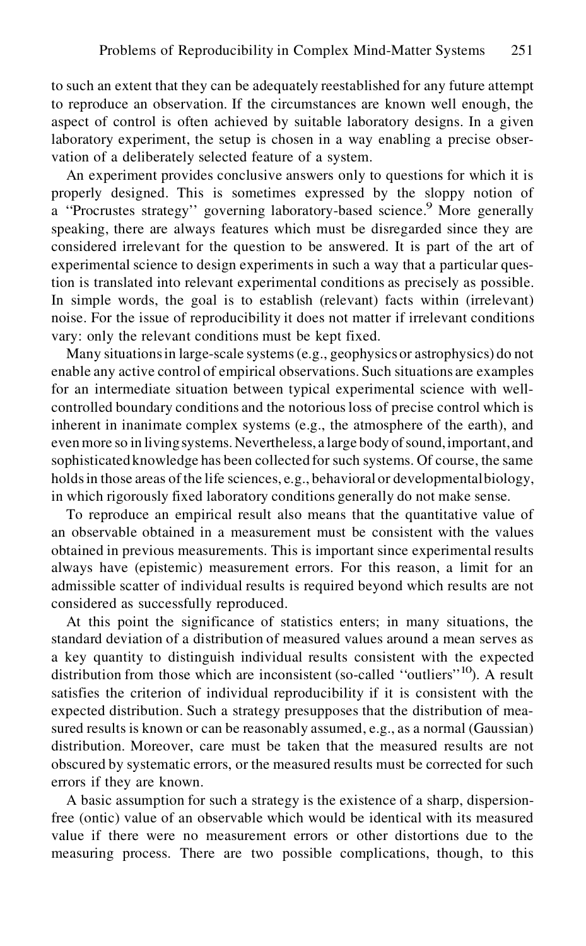to such an extent that they can be adequately reestablished for any future attempt to reproduce an observation. If the circumstances are known well enough, the aspect of control is often achieved by suitable laboratory designs. In a given laboratory experiment, the setup is chosen in a way enabling a precise observation of a deliberately selected feature of a system.

An experiment provides conclusive answers only to questions for which it is properly designed. This is sometimes expressed by the sloppy notion of a "Procrustes strategy" governing laboratory-based science.<sup>9</sup> More generally speaking, there are always features which must be disregarded since they are considered irrelevant for the question to be answered. It is part of the art of experimental science to design experiments in such a way that a particular question is translated into relevant experimental conditions as precisely as possible. In simple words, the goal is to establish (relevant) facts within (irrelevant) noise. For the issue of reproducibility it does not matter if irrelevant conditions vary: only the relevant conditions must be kept fixed.

Many situationsin large-scale systems(e.g., geophysicsor astrophysics) do not enable any active control of empirical observations. Such situations are examples for an intermediate situation between typical experimental science with wellcontrolled boundary conditions and the notoriousloss of precise control which is inherent in inanimate complex systems (e.g., the atmosphere of the earth), and even more so in living systems. Nevertheless, a large body of sound, important, and sophisticatedknowledge has been collected for such systems. Of course, the same holdsin those areas of the life sciences, e.g., behavioral or developmentalbiology, in which rigorously fixed laboratory conditions generally do not make sense.

To reproduce an empirical result also means that the quantitative value of an observable obtained in a measurement must be consistent with the values obtained in previous measurements. This is important since experimental results always have (epistemic) measurement errors. For this reason, a limit for an admissible scatter of individual results is required beyond which results are not considered as successfully reproduced.

At this point the significance of statistics enters; in many situations, the standard deviation of a distribution of measured values around a mean serves as a key quantity to distinguish individual results consistent with the expected distribution from those which are inconsistent (so-called ''outliers'' <sup>10</sup>). A result satisfies the criterion of individual reproducibility if it is consistent with the expected distribution. Such a strategy presupposes that the distribution of measured results is known or can be reasonably assumed, e.g., as a normal (Gaussian) distribution. Moreover, care must be taken that the measured results are not obscured by systematic errors, or the measured results must be corrected for such errors if they are known.

A basic assumption for such a strategy is the existence of a sharp, dispersionfree (ontic) value of an observable which would be identical with its measured value if there were no measurement errors or other distortions due to the measuring process. There are two possible complications, though, to this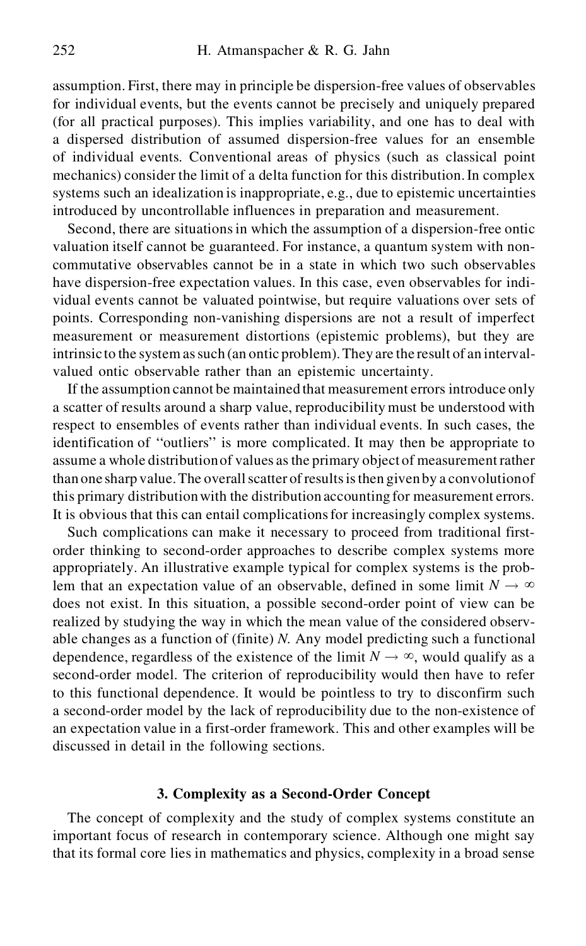assumption. First, there may in principle be dispersion-free values of observables for individual events, but the events cannot be precisely and uniquely prepared (for all practical purposes). This implies variability, and one has to deal with a dispersed distribution of assumed dispersion-free values for an ensemble of individual events. Conventional areas of physics (such as classical point mechanics) consider the limit of a delta function for this distribution.In complex systems such an idealization is inappropriate, e.g., due to epistemic uncertainties introduced by uncontrollable influences in preparation and measurement.

Second, there are situations in which the assumption of a dispersion-free ontic valuation itself cannot be guaranteed. For instance, a quantum system with noncommutative observables cannot be in a state in which two such observables have dispersion-free expectation values. In this case, even observables for individual events cannot be valuated pointwise, but require valuations over sets of points. Corresponding non-vanishing dispersions are not a result of imperfect measurement or measurement distortions (epistemic problems), but they are intrinsic to the systemassuch (an ontic problem).They are the result of an intervalvalued ontic observable rather than an epistemic uncertainty.

If the assumption cannot be maintained that measurement errors introduce only a scatter of results around a sharp value, reproducibility must be understood with respect to ensembles of events rather than individual events. In such cases, the identification of ''outliers'' is more complicated. It may then be appropriate to assume a whole distributionof values asthe primary object of measurementrather than one sharp value. The overall scatter of results is then given by a convolution of this primary distributionwith the distribution accounting for measurement errors. It is obvious that this can entail complications for increasingly complex systems.

Such complications can make it necessary to proceed from traditional firstorder thinking to second-order approaches to describe complex systems more appropriately. An illustrative example typical for complex systems is the problem that an expectation value of an observable, defined in some limit  $N \to \infty$ does not exist. In this situation, a possible second-order point of view can be realized by studying the way in which the mean value of the considered observable changes as a function of (finite) *N.* Any model predicting such a functional dependence, regardless of the existence of the limit  $N \to \infty$ , would qualify as a second-order model. The criterion of reproducibility would then have to refer to this functional dependence. It would be pointless to try to disconfirm such a second-order model by the lack of reproducibility due to the non-existence of an expectation value in a first-order framework. This and other examples will be discussed in detail in the following sections.

#### **3. Complexity as a Second-Order Concept**

The concept of complexity and the study of complex systems constitute an important focus of research in contemporary science. Although one might say that its formal core lies in mathematics and physics, complexity in a broad sense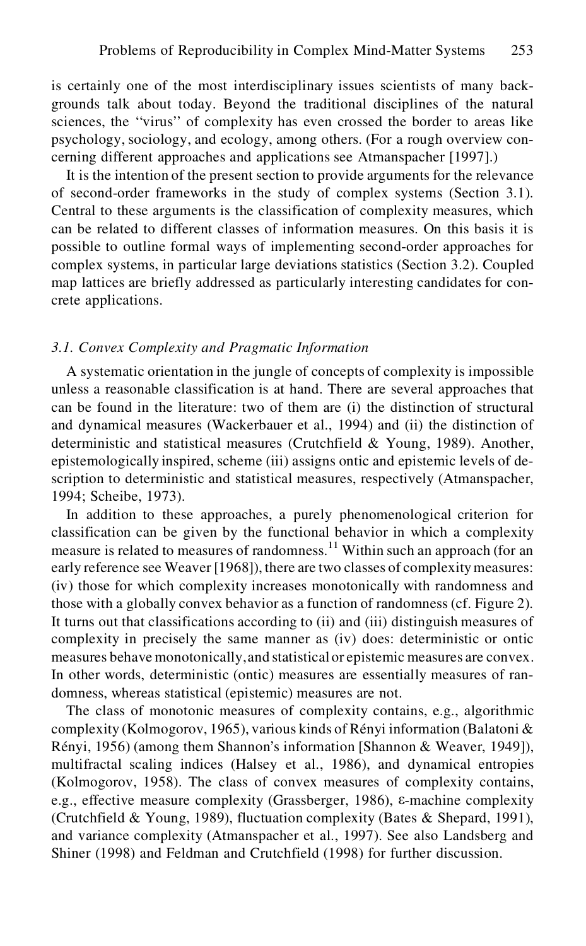is certainly one of the most interdisciplinary issues scientists of many backgrounds talk about today. Beyond the traditional disciplines of the natural sciences, the ''virus'' of complexity has even crossed the border to areas like psychology, sociology, and ecology, among others. (For a rough overview concerning different approaches and applications see Atmanspacher [1997].)

It is the intention of the present section to provide arguments for the relevance of second-order frameworks in the study of complex systems (Section 3.1). Central to these arguments is the classification of complexity measures, which can be related to different classes of information measures. On this basis it is possible to outline formal ways of implementing second-order approaches for complex systems, in particular large deviations statistics (Section 3.2). Coupled map lattices are briefly addressed as particularly interesting candidates for concrete applications.

### *3.1. Convex Complexity and Pragmatic Information*

A systematic orientation in the jungle of concepts of complexity is impossible unless a reasonable classification is at hand. There are several approaches that can be found in the literature: two of them are (i) the distinction of structural and dynamical measures (Wackerbauer et al., 1994) and (ii) the distinction of deterministic and statistical measures (Crutchfield & Young, 1989). Another, epistemologically inspired, scheme (iii) assigns ontic and epistemic levels of description to deterministic and statistical measures, respectively (Atmanspacher, 1994; Scheibe, 1973).

In addition to these approaches, a purely phenomenological criterion for classification can be given by the functional behavior in which a complexity measure is related to measures of randomness.<sup>11</sup> Within such an approach (for an early reference see Weaver [1968]), there are two classes of complexity measures: (iv) those for which complexity increases monotonically with randomness and those with a globally convex behavior as a function of randomness (cf. Figure 2). It turns out that classifications according to (ii) and (iii) distinguish measures of complexity in precisely the same manner as (iv) does: deterministic or ontic measures behave monotonically,and statistical or epistemic measures are convex. In other words, deterministic (ontic) measures are essentially measures of randomness, whereas statistical (epistemic) measures are not.

The class of monotonic measures of complexity contains, e.g., algorithmic complexity (Kolmogorov, 1965), various kinds of Rényi information (Balatoni & Rényi, 1956) (among them Shannon's information [Shannon & Weaver, 1949]), multifractal scaling indices (Halsey et al., 1986), and dynamical entropies (Kolmogorov, 1958). The class of convex measures of complexity contains, e.g., effective measure complexity (Grassberger, 1986), e-machine complexity (Crutchfield & Young, 1989), fluctuation complexity (Bates & Shepard, 1991), and variance complexity (Atmanspacher et al., 1997). See also Landsberg and Shiner (1998) and Feldman and Crutchfield (1998) for further discussion.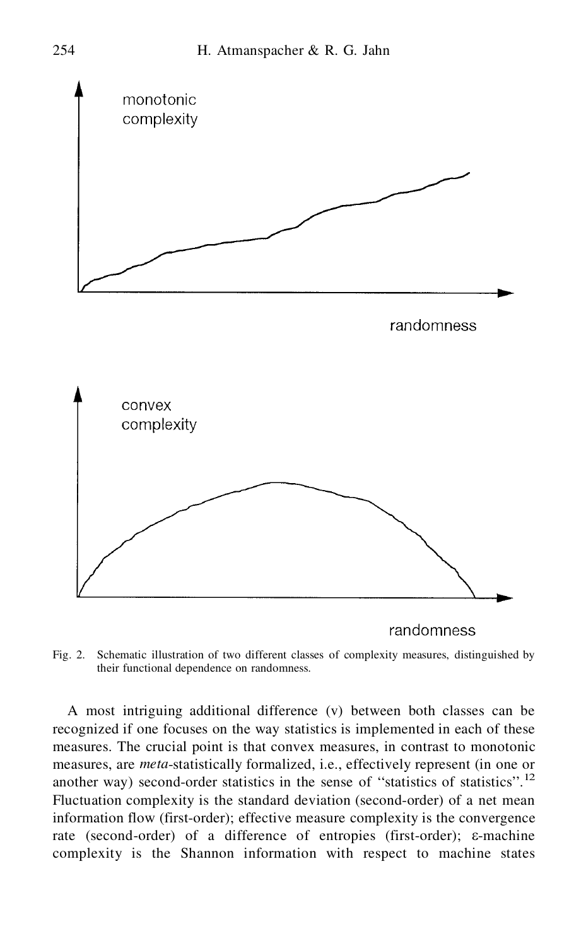

randomness

Fig. 2. Schematic illustration of two different classes of complexity measures, distinguished by their functional dependence on randomness.

A most intriguing additional difference (v) between both classes can be recognized if one focuses on the way statistics is implemented in each of these measures. The crucial point is that convex measures, in contrast to monotonic measures, are *meta*-statistically formalized, i.e., effectively represent (in one or another way) second-order statistics in the sense of "statistics of statistics".<sup>12</sup> Fluctuation complexity is the standard deviation (second-order) of a net mean information flow (first-order); effective measure complexity is the convergence rate (second-order) of a difference of entropies (first-order); e-machine complexity is the Shannon information with respect to machine states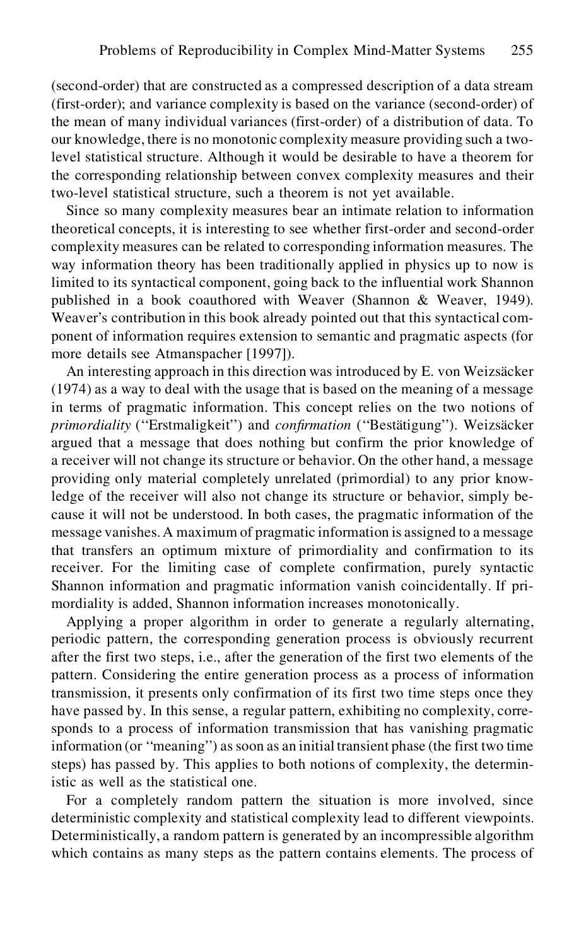(second-order) that are constructed as a compressed description of a data stream (first-order); and variance complexity is based on the variance (second-order) of the mean of many individual variances (first-order) of a distribution of data. To our knowledge, there is no monotonic complexity measure providing such a twolevel statistical structure. Although it would be desirable to have a theorem for the corresponding relationship between convex complexity measures and their two-level statistical structure, such a theorem is not yet available.

Since so many complexity measures bear an intimate relation to information theoretical concepts, it is interesting to see whether first-order and second-order complexity measures can be related to corresponding information measures. The way information theory has been traditionally applied in physics up to now is limited to its syntactical component, going back to the influential work Shannon published in a book coauthored with Weaver (Shannon & Weaver, 1949). Weaver's contribution in this book already pointed out that this syntactical component of information requires extension to semantic and pragmatic aspects (for more details see Atmanspacher [1997]).

An interesting approach in this direction was introduced by E. von Weizsäcker (1974) as a way to deal with the usage that is based on the meaning of a message in terms of pragmatic information. This concept relies on the two notions of *primordiality* ("Erstmaligkeit") and *confirmation* ("Bestätigung"). Weizsäcker argued that a message that does nothing but confirm the prior knowledge of a receiver will not change its structure or behavior. On the other hand, a message providing only material completely unrelated (primordial) to any prior knowledge of the receiver will also not change its structure or behavior, simply because it will not be understood. In both cases, the pragmatic information of the message vanishes.A maximum of pragmatic information is assigned to a message that transfers an optimum mixture of primordiality and confirmation to its receiver. For the limiting case of complete confirmation, purely syntactic Shannon information and pragmatic information vanish coincidentally. If primordiality is added, Shannon information increases monotonically.

Applying a proper algorithm in order to generate a regularly alternating, periodic pattern, the corresponding generation process is obviously recurrent after the first two steps, i.e., after the generation of the first two elements of the pattern. Considering the entire generation process as a process of information transmission, it presents only confirmation of its first two time steps once they have passed by. In this sense, a regular pattern, exhibiting no complexity, corresponds to a process of information transmission that has vanishing pragmatic information (or "meaning") as soon as an initial transient phase (the first two time steps) has passed by. This applies to both notions of complexity, the deterministic as well as the statistical one.

For a completely random pattern the situation is more involved, since deterministic complexity and statistical complexity lead to different viewpoints. Deterministically, a random pattern is generated by an incompressible algorithm which contains as many steps as the pattern contains elements. The process of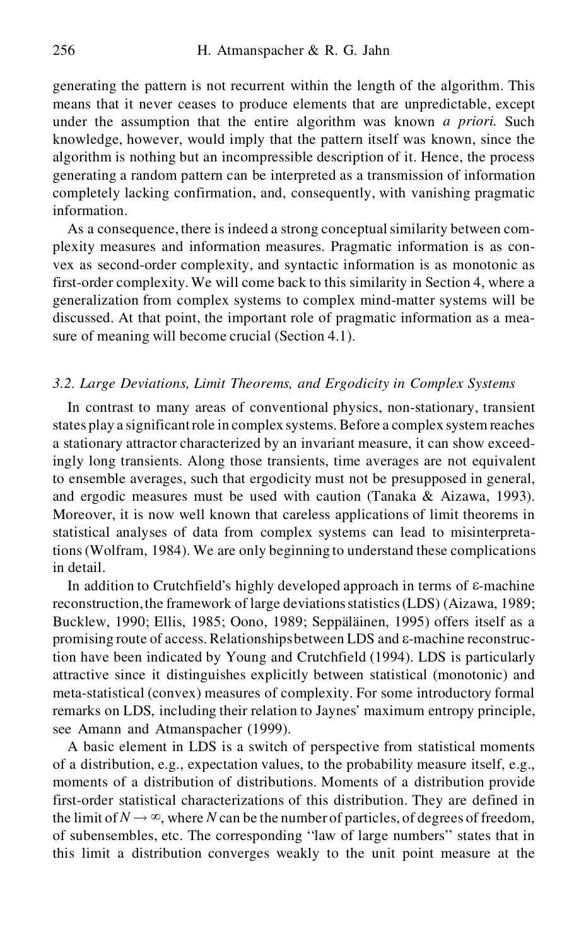generating the pattern is not recurrent within the length of the algorithm. This means that it never ceases to produce elements that are unpredictable, except under the assumption that the entire algorithm was known *a priori.* Such knowledge, however, would imply that the pattern itself was known, since the algorithm is nothing but an incompressible description of it. Hence, the process generating a random pattern can be interpreted as a transmission of information completely lacking confirmation, and, consequently, with vanishing pragmatic information.

As a consequence, there is indeed a strong conceptual similarity between complexity measures and information measures. Pragmatic information is as convex as second-order complexity, and syntactic information is as monotonic as first-order complexity.We will come back to this similarity in Section 4, where a generalization from complex systems to complex mind-matter systems will be discussed. At that point, the important role of pragmatic information as a measure of meaning will become crucial (Section 4.1).

#### *3.2. Large Deviations, Limit Theorems, and Ergodicity in Complex Systems*

In contrast to many areas of conventional physics, non-stationary, transient states play a significantrole in complex systems. Before a complex system reaches a stationary attractor characterized by an invariant measure, it can show exceedingly long transients. Along those transients, time averages are not equivalent to ensemble averages, such that ergodicity must not be presupposed in general, and ergodic measures must be used with caution (Tanaka & Aizawa, 1993). Moreover, it is now well known that careless applications of limit theorems in statistical analyses of data from complex systems can lead to misinterpretations(Wolfram, 1984). We are only beginning to understand these complications in detail.

In addition to Crutchfield's highly developed approach in terms of e-machine reconstruction, the framework of large deviations statistics (LDS) (Aizawa, 1989; Bucklew, 1990; Ellis, 1985; Oono, 1989; Seppäläinen, 1995) offers itself as a promising route of access. Relationshipsbetween LDS and e-machine reconstruction have been indicated by Young and Crutchfield (1994). LDS is particularly attractive since it distinguishes explicitly between statistical (monotonic) and meta-statistical (convex) measures of complexity. For some introductory formal remarks on LDS, including their relation to Jaynes' maximum entropy principle, see Amann and Atmanspacher (1999).

A basic element in LDS is a switch of perspective from statistical moments of a distribution, e.g., expectation values, to the probability measure itself, e.g., moments of a distribution of distributions. Moments of a distribution provide first-order statistical characterizations of this distribution. They are defined in the limit of  $N \to \infty$ , where *N* can be the number of particles, of degrees of freedom, of subensembles, etc. The corresponding ''law oflarge numbers'' states that in this limit a distribution converges weakly to the unit point measure at the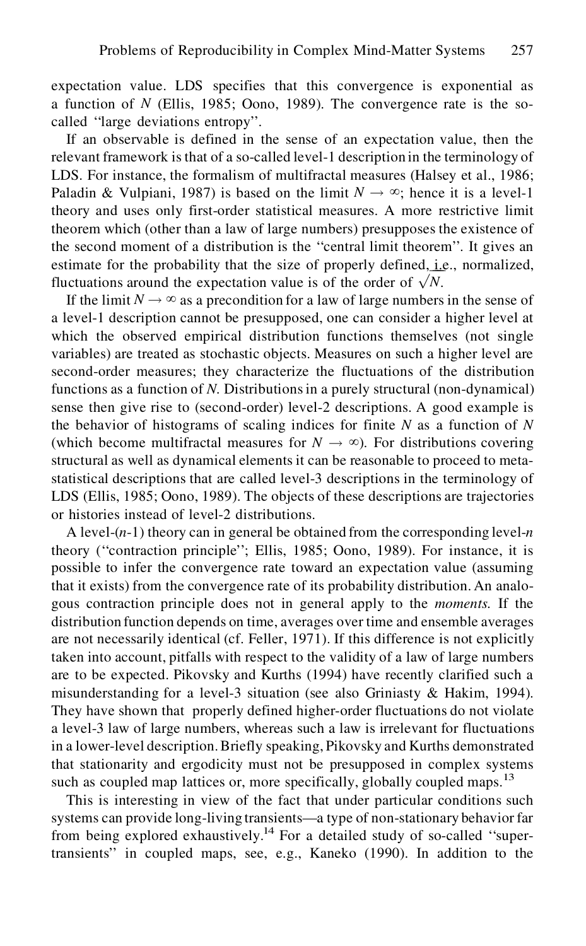expectation value. LDS specifies that this convergence is exponential as a function of *N* (Ellis, 1985; Oono, 1989). The convergence rate is the socalled ''large deviations entropy''.

If an observable is defined in the sense of an expectation value, then the relevant framework isthat of a so-called level-1 description in the terminology of LDS. For instance, the formalism of multifractal measures (Halsey et al., 1986; Paladin & Vulpiani, 1987) is based on the limit  $N \to \infty$ ; hence it is a level-1 theory and uses only first-order statistical measures. A more restrictive limit theorem which (other than a law of large numbers) presupposes the existence of the second moment of a distribution is the ''central limit theorem''. It gives an estimate for the probability that the size of properly defined, i.e., normalized, fluctuations around the expectation value is of the order of  $\sqrt{N}$ .

If the limit  $N \to \infty$  as a precondition for a law of large numbers in the sense of a level-1 description cannot be presupposed, one can consider a higher level at which the observed empirical distribution functions themselves (not single variables) are treated as stochastic objects. Measures on such a higher level are second-order measures; they characterize the fluctuations of the distribution functions as a function of *N.* Distributionsin a purely structural (non-dynamical) sense then give rise to (second-order) level-2 descriptions. A good example is the behavior of histograms of scaling indices for finite *N* as a function of *N* (which become multifractal measures for  $N \to \infty$ ). For distributions covering structural as well as dynamical elements it can be reasonable to proceed to metastatistical descriptions that are called level-3 descriptions in the terminology of LDS (Ellis, 1985; Oono, 1989). The objects of these descriptions are trajectories or histories instead of level-2 distributions.

A level-(*n*-1) theory can in general be obtained from the corresponding level-*n* theory (''contraction principle''; Ellis, 1985; Oono, 1989). For instance, it is possible to infer the convergence rate toward an expectation value (assuming that it exists) from the convergence rate of its probability distribution. An analogous contraction principle does not in general apply to the *moments.* If the distribution function depends on time, averages over time and ensemble averages are not necessarily identical (cf. Feller, 1971). If this difference is not explicitly taken into account, pitfalls with respect to the validity of a law of large numbers are to be expected. Pikovsky and Kurths (1994) have recently clarified such a misunderstanding for a level-3 situation (see also Griniasty & Hakim, 1994). They have shown that properly defined higher-order fluctuations do not violate a level-3 law of large numbers, whereas such a law is irrelevant for fluctuations in a lower-level description.Briefly speaking, Pikovsky and Kurths demonstrated that stationarity and ergodicity must not be presupposed in complex systems such as coupled map lattices or, more specifically, globally coupled maps.<sup>13</sup>

This is interesting in view of the fact that under particular conditions such systems can provide long-living transients—a type of non-stationary behavior far from being explored exhaustively.<sup>14</sup> For a detailed study of so-called "supertransients'' in coupled maps, see, e.g., Kaneko (1990). In addition to the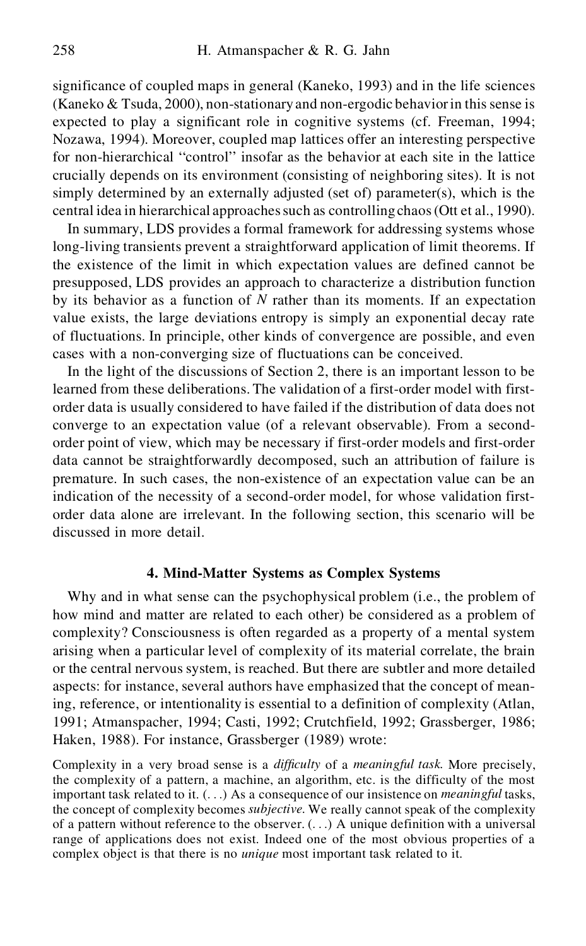significance of coupled maps in general (Kaneko, 1993) and in the life sciences (Kaneko & Tsuda, 2000), non-stationary and non-ergodic behavior in this sense is expected to play a significant role in cognitive systems (cf. Freeman, 1994; Nozawa, 1994). Moreover, coupled map lattices offer an interesting perspective for non-hierarchical ''control'' insofar as the behavior at each site in the lattice crucially depends on its environment (consisting of neighboring sites). It is not simply determined by an externally adjusted (set of) parameter(s), which is the central idea in hierarchical approaches such as controlling chaos (Ott et al., 1990).

In summary, LDS provides a formal framework for addressing systems whose long-living transients prevent a straightforward application of limit theorems. If the existence of the limit in which expectation values are defined cannot be presupposed, LDS provides an approach to characterize a distribution function by its behavior as a function of *N* rather than its moments. If an expectation value exists, the large deviations entropy is simply an exponential decay rate of fluctuations. In principle, other kinds of convergence are possible, and even cases with a non-converging size of fluctuations can be conceived.

In the light of the discussions of Section 2, there is an important lesson to be learned from these deliberations. The validation of a first-order model with firstorder data is usually considered to have failed if the distribution of data does not converge to an expectation value (of a relevant observable). From a secondorder point of view, which may be necessary if first-order models and first-order data cannot be straightforwardly decomposed, such an attribution of failure is premature. In such cases, the non-existence of an expectation value can be an indication of the necessity of a second-order model, for whose validation firstorder data alone are irrelevant. In the following section, this scenario will be discussed in more detail.

#### **4. Mind-Matter Systems as Complex Systems**

Why and in what sense can the psychophysical problem (i.e., the problem of how mind and matter are related to each other) be considered as a problem of complexity? Consciousness is often regarded as a property of a mental system arising when a particular level of complexity of its material correlate, the brain or the central nervous system, is reached. But there are subtler and more detailed aspects: for instance, several authors have emphasized that the concept of meaning, reference, or intentionality is essential to a definition of complexity (Atlan, 1991; Atmanspacher, 1994; Casti, 1992; Crutchfield, 1992; Grassberger, 1986; Haken, 1988). For instance, Grassberger (1989) wrote:

Complexity in a very broad sense is a *dif culty* of a *meaningful task.* More precisely, the complexity of a pattern, a machine, an algorithm, etc. is the difficulty of the most important task related to it. (. . .) As a consequence of our insistence on *meaningful* tasks, the concept of complexity becomes *subjective.* We really cannot speak of the complexity of a pattern without reference to the observer. (. . .) A unique definition with a universal range of applications does not exist. Indeed one of the most obvious properties of a complex object is that there is no *unique* most important task related to it.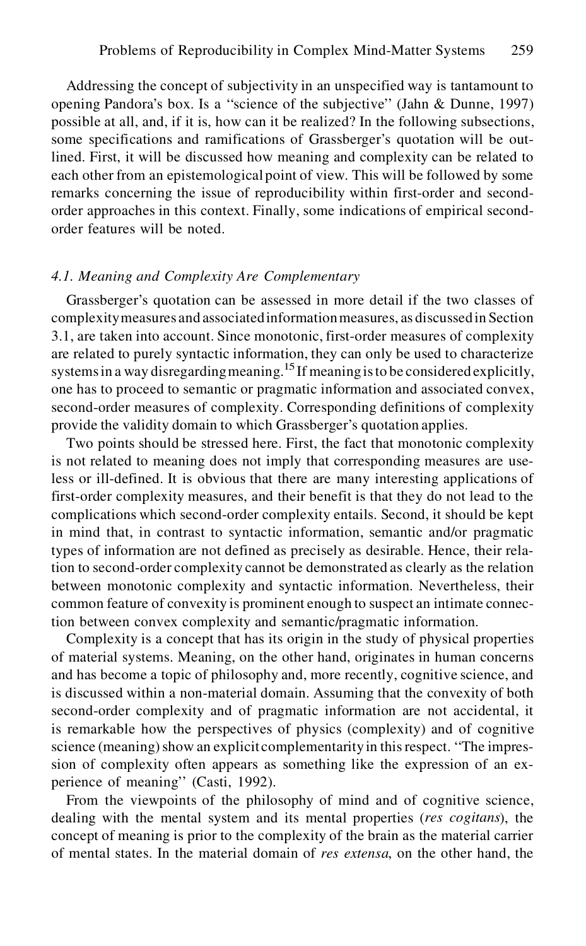Addressing the concept of subjectivity in an unspecified way is tantamount to opening Pandora's box. Is a ''science of the subjective'' (Jahn & Dunne, 1997) possible at all, and, if it is, how can it be realized? In the following subsections, some specifications and ramifications of Grassberger's quotation will be outlined. First, it will be discussed how meaning and complexity can be related to each other from an epistemological point of view. This will be followed by some remarks concerning the issue of reproducibility within first-order and secondorder approaches in this context. Finally, some indications of empirical secondorder features will be noted.

#### *4.1. Meaning and Complexity Are Complementary*

Grassberger's quotation can be assessed in more detail if the two classes of complexitymeasures and associatedinformationmeasures, as discussedin Section 3.1, are taken into account. Since monotonic, first-order measures of complexity are related to purely syntactic information, they can only be used to characterize systems in a way disregarding meaning.<sup>15</sup> If meaning is to be considered explicitly, one has to proceed to semantic or pragmatic information and associated convex, second-order measures of complexity. Corresponding definitions of complexity provide the validity domain to which Grassberger's quotation applies.

Two points should be stressed here. First, the fact that monotonic complexity is not related to meaning does not imply that corresponding measures are useless or ill-defined. It is obvious that there are many interesting applications of first-order complexity measures, and their benefit is that they do not lead to the complications which second-order complexity entails. Second, it should be kept in mind that, in contrast to syntactic information, semantic and/or pragmatic types of information are not defined as precisely as desirable. Hence, their relation to second-order complexity cannot be demonstrated as clearly as the relation between monotonic complexity and syntactic information. Nevertheless, their common feature of convexity is prominent enough to suspect an intimate connection between convex complexity and semantic/pragmatic information.

Complexity is a concept that has its origin in the study of physical properties of material systems. Meaning, on the other hand, originates in human concerns and has become a topic of philosophy and, more recently, cognitive science, and is discussed within a non-material domain. Assuming that the convexity of both second-order complexity and of pragmatic information are not accidental, it is remarkable how the perspectives of physics (complexity) and of cognitive science (meaning) show an explicit complementarity in this respect. "The impression of complexity often appears as something like the expression of an experience of meaning'' (Casti, 1992).

From the viewpoints of the philosophy of mind and of cognitive science, dealing with the mental system and its mental properties (*res cogitans*), the concept of meaning is prior to the complexity of the brain as the material carrier of mental states. In the material domain of *res extensa*, on the other hand, the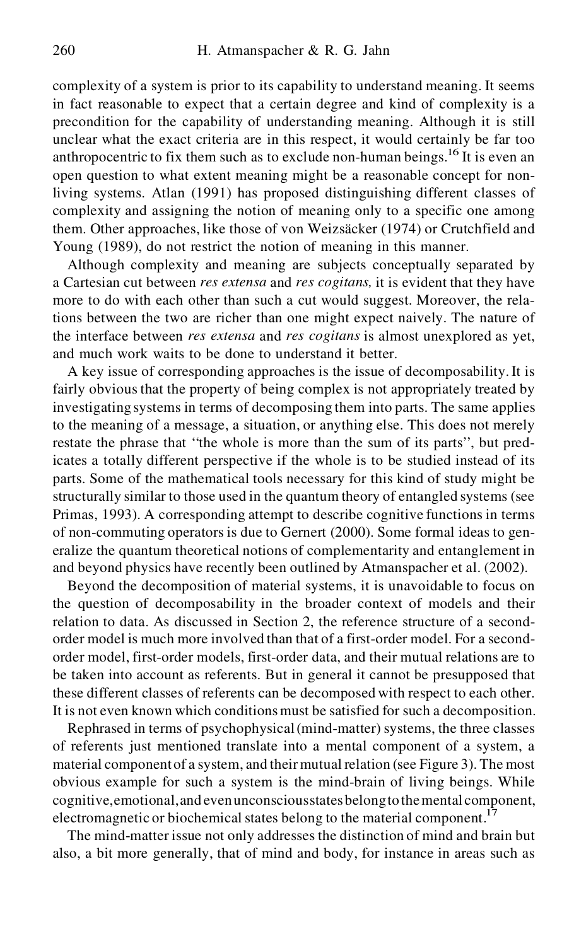complexity of a system is prior to its capability to understand meaning. It seems in fact reasonable to expect that a certain degree and kind of complexity is a precondition for the capability of understanding meaning. Although it is still unclear what the exact criteria are in this respect, it would certainly be far too anthropocentric to fix them such as to exclude non-human beings.<sup>16</sup> It is even an open question to what extent meaning might be a reasonable concept for nonliving systems. Atlan (1991) has proposed distinguishing different classes of complexity and assigning the notion of meaning only to a specific one among them. Other approaches, like those of von Weizsäcker (1974) or Crutchfield and Young (1989), do not restrict the notion of meaning in this manner.

Although complexity and meaning are subjects conceptually separated by a Cartesian cut between *res extensa* and *res cogitans,* it is evident that they have more to do with each other than such a cut would suggest. Moreover, the relations between the two are richer than one might expect naively. The nature of the interface between *res extensa* and *res cogitans* is almost unexplored as yet, and much work waits to be done to understand it better.

A key issue of corresponding approaches is the issue of decomposability.It is fairly obvious that the property of being complex is not appropriately treated by investigating systems in terms of decomposing them into parts. The same applies to the meaning of a message, a situation, or anything else. This does not merely restate the phrase that ''the whole is more than the sum of its parts'', but predicates a totally different perspective if the whole is to be studied instead of its parts. Some of the mathematical tools necessary for this kind of study might be structurally similar to those used in the quantum theory of entangled systems (see Primas, 1993). A corresponding attempt to describe cognitive functions in terms of non-commuting operators is due to Gernert (2000). Some formal ideas to generalize the quantum theoretical notions of complementarity and entanglement in and beyond physics have recently been outlined by Atmanspacher et al. (2002).

Beyond the decomposition of material systems, it is unavoidable to focus on the question of decomposability in the broader context of models and their relation to data. As discussed in Section 2, the reference structure of a secondorder model is much more involved than that of a first-order model. For a secondorder model, first-order models, first-order data, and their mutual relations are to be taken into account as referents. But in general it cannot be presupposed that these different classes of referents can be decomposed with respect to each other. It is not even known which conditionsmust be satisfied for such a decomposition.

Rephrased in terms of psychophysical(mind-matter) systems, the three classes of referents just mentioned translate into a mental component of a system, a material component of a system, and their mutual relation (see Figure 3). The most obvious example for such a system is the mind-brain of living beings. While cognitive,emotional,and evenunconsciousstatesbelongtothemental component, electromagnetic or biochemical states belong to the material component.<sup>17</sup>

The mind-matter issue not only addresses the distinction of mind and brain but also, a bit more generally, that of mind and body, for instance in areas such as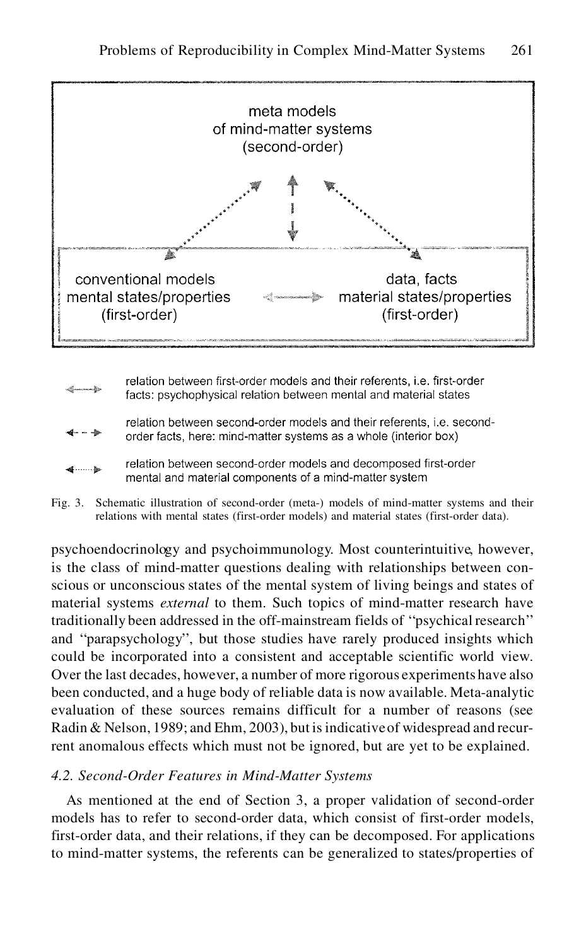



Fig. 3. Schematic illustration of second-order (meta-) models of mind-matter systems and their relations with mental states (first-order models) and material states (first-order data).

psychoendocrinology and psychoimmunology. Most counterintuitive, however, is the class of mind-matter questions dealing with relationships between conscious or unconscious states of the mental system of living beings and states of material systems *external* to them. Such topics of mind-matter research have traditionally been addressed in the off-mainstream fields of ''psychical research'' and ''parapsychology'', but those studies have rarely produced insights which could be incorporated into a consistent and acceptable scientific world view. Over the last decades, however, a number of more rigorous experiments have also been conducted, and a huge body of reliable data is now available. Meta-analytic evaluation of these sources remains difficult for a number of reasons (see Radin & Nelson, 1989; and Ehm, 2003), but isindicativeof widespread and recurrent anomalous effects which must not be ignored, but are yet to be explained.

## *4.2. Second-Order Features in Mind-Matter Systems*

As mentioned at the end of Section 3, a proper validation of second-order models has to refer to second-order data, which consist of first-order models, first-order data, and their relations, if they can be decomposed. For applications to mind-matter systems, the referents can be generalized to states/properties of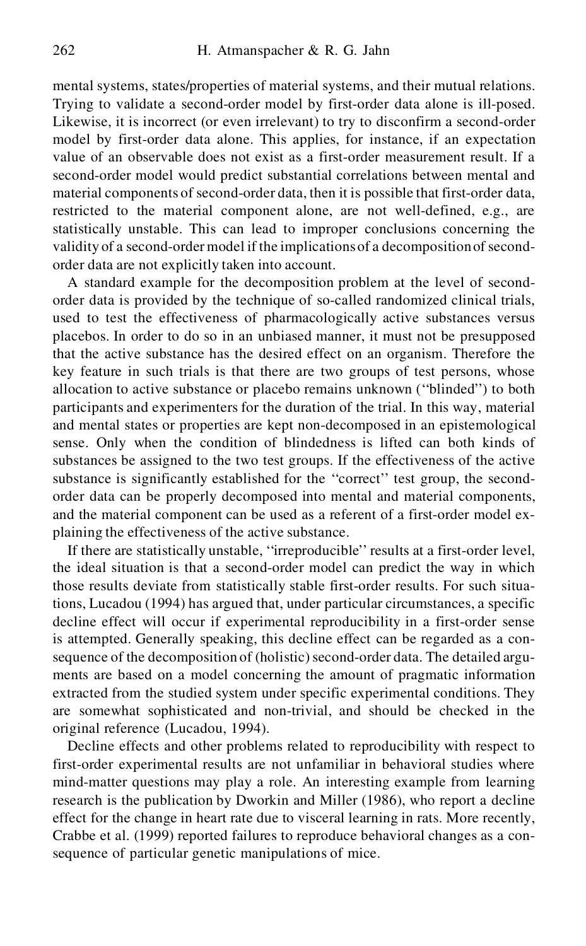mental systems, states/properties of material systems, and their mutual relations. Trying to validate a second-order model by first-order data alone is ill-posed. Likewise, it is incorrect (or even irrelevant) to try to disconfirm a second-order model by first-order data alone. This applies, for instance, if an expectation value of an observable does not exist as a first-order measurement result. If a second-order model would predict substantial correlations between mental and material components of second-order data, then it is possible that first-order data, restricted to the material component alone, are not well-defined, e.g., are statistically unstable. This can lead to improper conclusions concerning the validity of a second-ordermodel if the implicationsof a decompositionofsecondorder data are not explicitly taken into account.

A standard example for the decomposition problem at the level of secondorder data is provided by the technique of so-called randomized clinical trials, used to test the effectiveness of pharmacologically active substances versus placebos. In order to do so in an unbiased manner, it must not be presupposed that the active substance has the desired effect on an organism. Therefore the key feature in such trials is that there are two groups of test persons, whose allocation to active substance or placebo remains unknown (''blinded'') to both participants and experimenters for the duration of the trial. In this way, material and mental states or properties are kept non-decomposed in an epistemological sense. Only when the condition of blindedness is lifted can both kinds of substances be assigned to the two test groups. If the effectiveness of the active substance is significantly established for the ''correct'' test group, the secondorder data can be properly decomposed into mental and material components, and the material component can be used as a referent of a first-order model explaining the effectiveness of the active substance.

If there are statistically unstable, ''irreproducible'' results at a first-order level, the ideal situation is that a second-order model can predict the way in which those results deviate from statistically stable first-order results. For such situations, Lucadou (1994) has argued that, under particular circumstances, a specific decline effect will occur if experimental reproducibility in a first-order sense is attempted. Generally speaking, this decline effect can be regarded as a consequence of the decomposition of (holistic) second-order data. The detailed arguments are based on a model concerning the amount of pragmatic information extracted from the studied system under specific experimental conditions. They are somewhat sophisticated and non-trivial, and should be checked in the original reference (Lucadou, 1994).

Decline effects and other problems related to reproducibility with respect to first-order experimental results are not unfamiliar in behavioral studies where mind-matter questions may play a role. An interesting example from learning research is the publication by Dworkin and Miller (1986), who report a decline effect for the change in heart rate due to visceral learning in rats. More recently, Crabbe et al. (1999) reported failures to reproduce behavioral changes as a consequence of particular genetic manipulations of mice.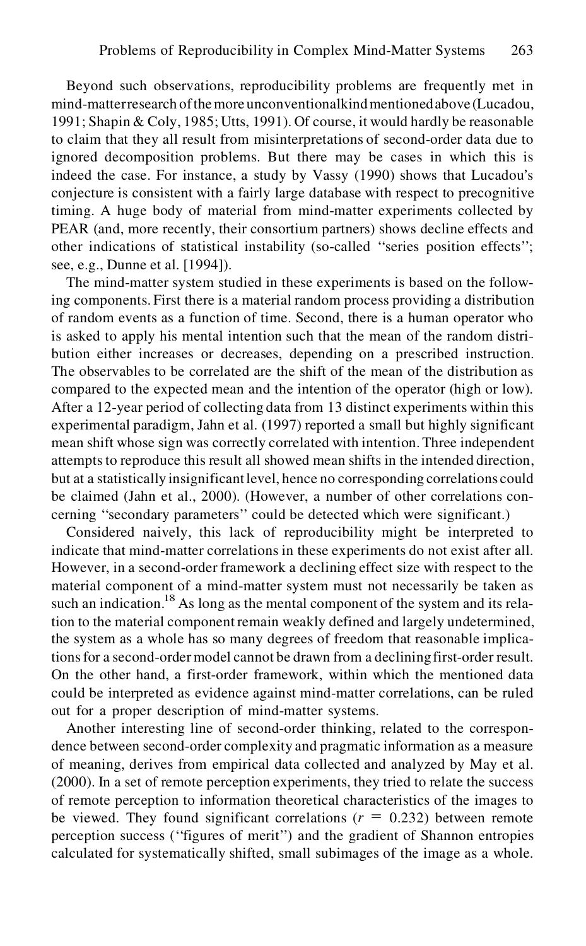Beyond such observations, reproducibility problems are frequently met in mind-matterresearch ofthemore unconventionalkindmentionedabove (Lucadou, 1991; Shapin & Coly, 1985; Utts, 1991). Of course, it would hardly be reasonable to claim that they all result from misinterpretations of second-order data due to ignored decomposition problems. But there may be cases in which this is indeed the case. For instance, a study by Vassy (1990) shows that Lucadou's conjecture is consistent with a fairly large database with respect to precognitive timing. A huge body of material from mind-matter experiments collected by PEAR (and, more recently, their consortium partners) shows decline effects and other indications of statistical instability (so-called ''series position effects''; see, e.g., Dunne et al. [1994]).

The mind-matter system studied in these experiments is based on the following components. First there is a material random process providing a distribution of random events as a function of time. Second, there is a human operator who is asked to apply his mental intention such that the mean of the random distribution either increases or decreases, depending on a prescribed instruction. The observables to be correlated are the shift of the mean of the distribution as compared to the expected mean and the intention of the operator (high or low). After a 12-year period of collecting data from 13 distinct experiments within this experimental paradigm, Jahn et al. (1997) reported a small but highly significant mean shift whose sign was correctly correlated with intention.Three independent attempts to reproduce this result all showed mean shifts in the intended direction, but at a statistically insignificantlevel, hence no corresponding correlations could be claimed (Jahn et al., 2000). (However, a number of other correlations concerning ''secondary parameters'' could be detected which were significant.)

Considered naively, this lack of reproducibility might be interpreted to indicate that mind-matter correlations in these experiments do not exist after all. However, in a second-order framework a declining effect size with respect to the material component of a mind-matter system must not necessarily be taken as such an indication.<sup>18</sup> As long as the mental component of the system and its relation to the material component remain weakly defined and largely undetermined, the system as a whole has so many degrees of freedom that reasonable implicationsfor a second-ordermodel cannot be drawn from a decliningfirst-order result. On the other hand, a first-order framework, within which the mentioned data could be interpreted as evidence against mind-matter correlations, can be ruled out for a proper description of mind-matter systems.

Another interesting line of second-order thinking, related to the correspondence between second-order complexity and pragmatic information as a measure of meaning, derives from empirical data collected and analyzed by May et al. (2000). In a set of remote perception experiments, they tried to relate the success of remote perception to information theoretical characteristics of the images to be viewed. They found significant correlations  $(r = 0.232)$  between remote perception success (''figures of merit'') and the gradient of Shannon entropies calculated for systematically shifted, small subimages of the image as a whole.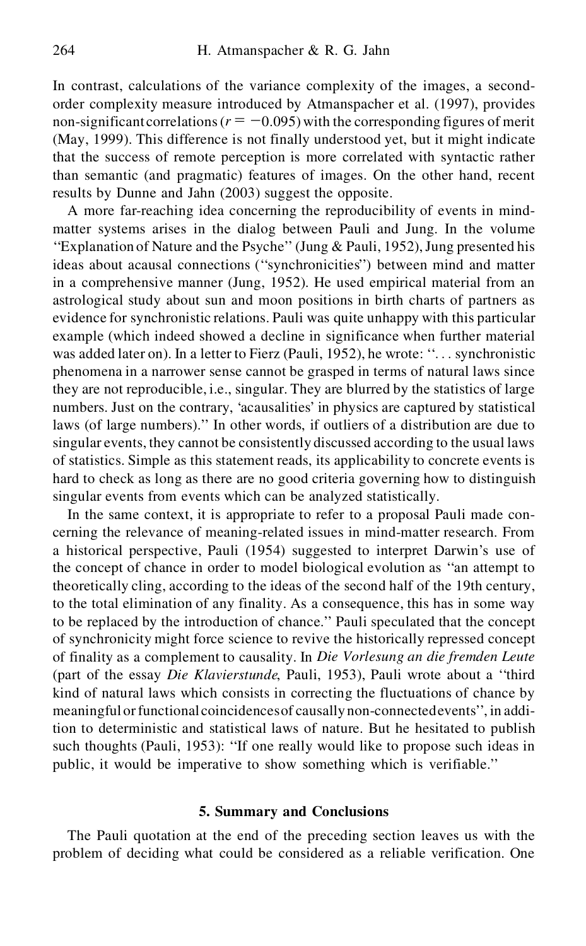In contrast, calculations of the variance complexity of the images, a secondorder complexity measure introduced by Atmanspacher et al. (1997), provides non-significant correlations ( $r = -0.095$ ) with the corresponding figures of merit (May, 1999). This difference is not finally understood yet, but it might indicate that the success of remote perception is more correlated with syntactic rather than semantic (and pragmatic) features of images. On the other hand, recent results by Dunne and Jahn (2003) suggest the opposite.

A more far-reaching idea concerning the reproducibility of events in mindmatter systems arises in the dialog between Pauli and Jung. In the volume "Explanation of Nature and the Psyche" (Jung  $\&$  Pauli, 1952), Jung presented his ideas about acausal connections (''synchronicities'') between mind and matter in a comprehensive manner (Jung, 1952). He used empirical material from an astrological study about sun and moon positions in birth charts of partners as evidence for synchronistic relations. Pauli was quite unhappy with this particular example (which indeed showed a decline in significance when further material was added later on). In a letter to Fierz (Pauli, 1952), he wrote: ''. . . synchronistic phenomena in a narrower sense cannot be grasped in terms of natural laws since they are not reproducible, i.e., singular. They are blurred by the statistics of large numbers. Just on the contrary, 'acausalities' in physics are captured by statistical laws (of large numbers).'' In other words, if outliers of a distribution are due to singular events, they cannot be consistently discussed according to the usual laws of statistics. Simple as this statement reads, its applicability to concrete events is hard to check as long as there are no good criteria governing how to distinguish singular events from events which can be analyzed statistically.

In the same context, it is appropriate to refer to a proposal Pauli made concerning the relevance of meaning-related issues in mind-matter research. From a historical perspective, Pauli (1954) suggested to interpret Darwin's use of the concept of chance in order to model biological evolution as ''an attempt to theoretically cling, according to the ideas of the second half of the 19th century, to the total elimination of any finality. As a consequence, this has in some way to be replaced by the introduction of chance.'' Pauli speculated that the concept of synchronicity might force science to revive the historically repressed concept of finality as a complement to causality. In *Die Vorlesung an die fremden Leute* (part of the essay *Die Klavierstunde*, Pauli, 1953), Pauli wrote about a ''third kind of natural laws which consists in correcting the fluctuations of chance by meaningful or functional coincidences of causally non-connected events'', in addition to deterministic and statistical laws of nature. But he hesitated to publish such thoughts (Pauli, 1953): ''If one really would like to propose such ideas in public, it would be imperative to show something which is verifiable.''

#### **5. Summary and Conclusions**

The Pauli quotation at the end of the preceding section leaves us with the problem of deciding what could be considered as a reliable verification. One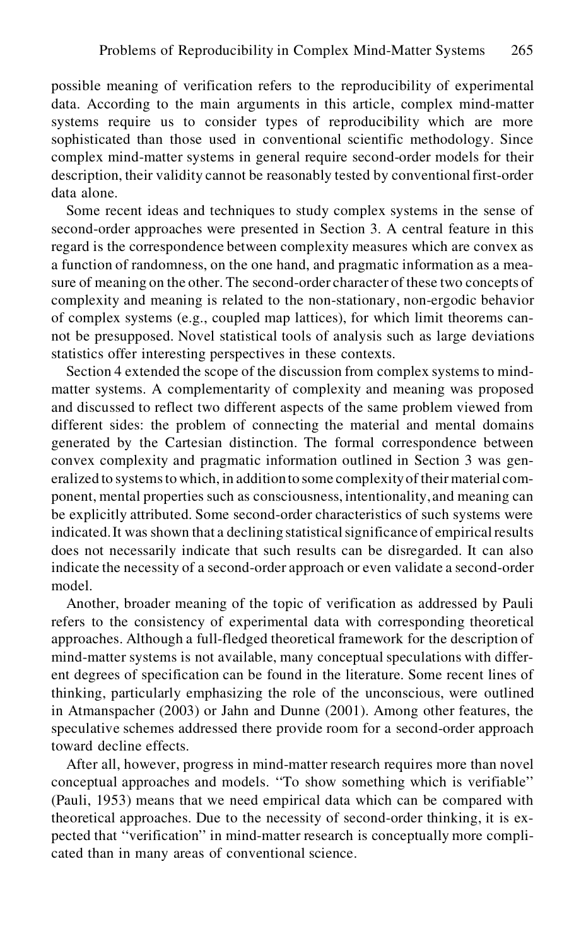possible meaning of verification refers to the reproducibility of experimental data. According to the main arguments in this article, complex mind-matter systems require us to consider types of reproducibility which are more sophisticated than those used in conventional scientific methodology. Since complex mind-matter systems in general require second-order models for their description, their validity cannot be reasonably tested by conventionalfirst-order data alone.

Some recent ideas and techniques to study complex systems in the sense of second-order approaches were presented in Section 3. A central feature in this regard is the correspondence between complexity measures which are convex as a function of randomness, on the one hand, and pragmatic information as a measure of meaning on the other. The second-order character of these two concepts of complexity and meaning is related to the non-stationary, non-ergodic behavior of complex systems (e.g., coupled map lattices), for which limit theorems cannot be presupposed. Novel statistical tools of analysis such as large deviations statistics offer interesting perspectives in these contexts.

Section 4 extended the scope of the discussion from complex systems to mindmatter systems. A complementarity of complexity and meaning was proposed and discussed to reflect two different aspects of the same problem viewed from different sides: the problem of connecting the material and mental domains generated by the Cartesian distinction. The formal correspondence between convex complexity and pragmatic information outlined in Section 3 was generalized to systems to which, in addition to some complexity of their material component, mental properties such as consciousness, intentionality,and meaning can be explicitly attributed. Some second-order characteristics of such systems were indicated. It was shown that a declining statistical significance of empirical results does not necessarily indicate that such results can be disregarded. It can also indicate the necessity of a second-order approach or even validate a second-order model.

Another, broader meaning of the topic of verification as addressed by Pauli refers to the consistency of experimental data with corresponding theoretical approaches. Although a full-fledged theoretical framework for the description of mind-matter systems is not available, many conceptual speculations with different degrees of specification can be found in the literature. Some recent lines of thinking, particularly emphasizing the role of the unconscious, were outlined in Atmanspacher (2003) or Jahn and Dunne (2001). Among other features, the speculative schemes addressed there provide room for a second-order approach toward decline effects.

After all, however, progress in mind-matter research requires more than novel conceptual approaches and models. ''To show something which is verifiable'' (Pauli, 1953) means that we need empirical data which can be compared with theoretical approaches. Due to the necessity of second-order thinking, it is expected that ''verification'' in mind-matter research is conceptually more complicated than in many areas of conventional science.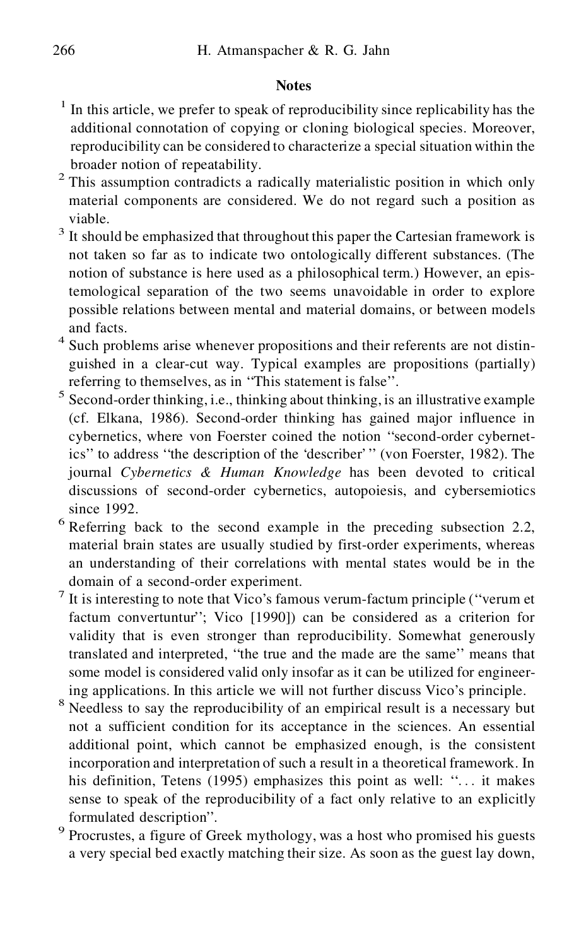## **Notes**

- $<sup>1</sup>$  In this article, we prefer to speak of reproducibility since replicability has the</sup> additional connotation of copying or cloning biological species. Moreover, reproducibility can be considered to characterize a special situation within the broader notion of repeatability.<br><sup>2</sup> This assumption contradicts a radically materialistic position in which only
- material components are considered. We do not regard such a position as
- viable.<br><sup>3</sup> It should be emphasized that throughout this paper the Cartesian framework is not taken so far as to indicate two ontologically different substances. (The notion of substance is here used as a philosophical term.) However, an epistemological separation of the two seems unavoidable in order to explore possible relations between mental and material domains, or between models
- and facts.<br><sup>4</sup> Such problems arise whenever propositions and their referents are not distinguished in a clear-cut way. Typical examples are propositions (partially)
- referring to themselves, as in ''This statement is false''. <sup>5</sup> Second-order thinking, i.e., thinking about thinking, is an illustrative example (cf. Elkana, 1986). Second-order thinking has gained major influence in cybernetics, where von Foerster coined the notion ''second-order cybernetics'' to address ''the description of the 'describer''' (von Foerster, 1982). The journal *Cybernetics & Human Knowledge* has been devoted to critical discussions of second-order cybernetics, autopoiesis, and cybersemiotics since 1992.
- Referring back to the second example in the preceding subsection 2.2, material brain states are usually studied by first-order experiments, whereas an understanding of their correlations with mental states would be in the
- domain of a second-order experiment.<br><sup>7</sup> It is interesting to note that Vico's famous verum-factum principle ("verum et factum convertuntur''; Vico [1990]) can be considered as a criterion for validity that is even stronger than reproducibility. Somewhat generously translated and interpreted, ''the true and the made are the same'' means that some model is considered valid only insofar as it can be utilized for engineer-
- ing applications. In this article we will not further discuss Vico's principle. <sup>8</sup> Needless to say the reproducibility of an empirical result is <sup>a</sup> necessary but not a sufficient condition for its acceptance in the sciences. An essential additional point, which cannot be emphasized enough, is the consistent incorporation and interpretation of such a result in a theoretical framework. In his definition, Tetens (1995) emphasizes this point as well: "... it makes sense to speak of the reproducibility of a fact only relative to an explicitly
- formulated description".<br>Procrustes, a figure of Greek mythology, was a host who promised his guests a very special bed exactly matching their size. As soon as the guest lay down,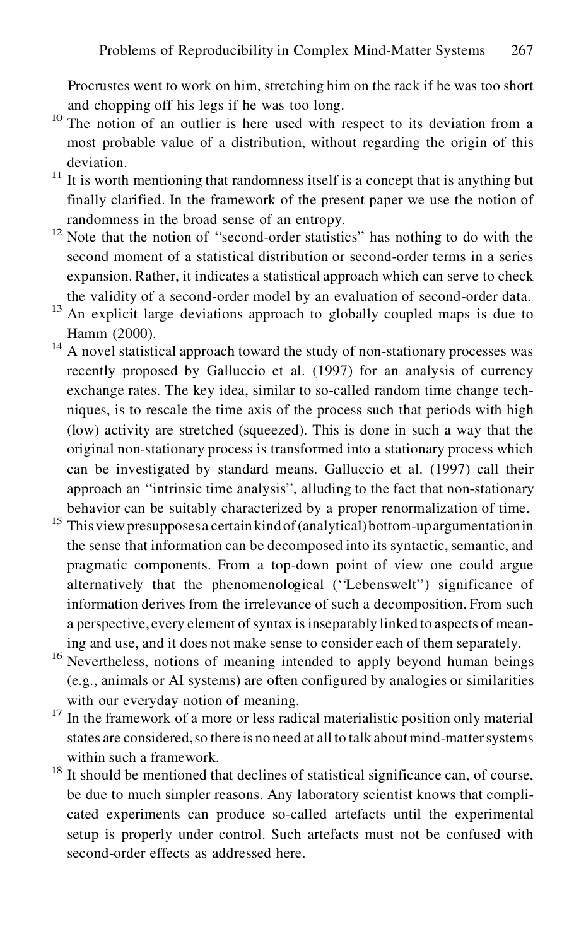Procrustes went to work on him, stretching him on the rack if he was too short

- and chopping off his legs if he was too long.<br> $10$  The notion of an outlier is here used with respect to its deviation from a most probable value of a distribution, without regarding the origin of this
- deviation.<br><sup>11</sup> It is worth mentioning that randomness itself is a concept that is anything but finally clarified. In the framework of the present paper we use the notion of
- randomness in the broad sense of an entropy.<br><sup>12</sup> Note that the notion of "second-order statistics" has nothing to do with the second moment of a statistical distribution or second-order terms in a series expansion. Rather, it indicates a statistical approach which can serve to check
- the validity of <sup>a</sup> second-order model by an evaluation of second-order data. <sup>13</sup> An explicit large deviations approach to globally coupled maps is due to
- Hamm (2000).  $14$  A novel statistical approach toward the study of non-stationary processes was recently proposed by Galluccio et al. (1997) for an analysis of currency exchange rates. The key idea, similar to so-called random time change techniques, is to rescale the time axis of the process such that periods with high (low) activity are stretched (squeezed). This is done in such a way that the original non-stationary process is transformed into a stationary process which can be investigated by standard means. Galluccio et al. (1997) call their approach an ''intrinsic time analysis'', alluding to the fact that non-stationary
- behavior can be suitably characterized by a proper renormalization of time.<br><sup>15</sup> This view presupposes a certain kind of (analytical)bottom-upargumentation in the sense that information can be decomposed into its syntactic, semantic, and pragmatic components. From atop-down point of view one could argue alternatively that the phenomenological (''Lebenswelt'') significance of information derives from the irrelevance of such a decomposition. From such a perspective, every element of syntax is inseparably linked to aspects of mean-
- ing and use, and it does not make sense to consider each of them separately. <sup>16</sup> Nevertheless, notions of meaning intended to apply beyond human beings (e.g., animals or AI systems) are often configured by analogies or similarities
- with our everyday notion of meaning.<br> $17$  In the framework of a more or less radical materialistic position only material states are considered, so there is no need at all to talk about mind-matter systems
- within such a framework.<br><sup>18</sup> It should be mentioned that declines of statistical significance can, of course, be due to much simpler reasons. Any laboratory scientist knows that complicated experiments can produce so-called artefacts until the experimental setup is properly under control. Such artefacts must not be confused with second-order effects as addressed here.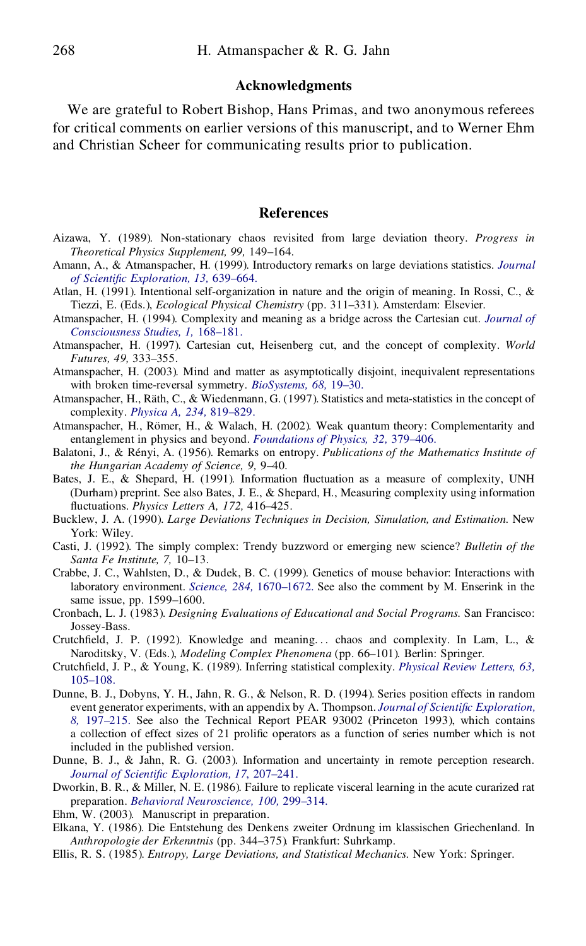#### **Acknowledgments**

We are grateful to Robert Bishop, Hans Primas, and two anonymous referees for critical comments on earlier versions of this manuscript, and to Werner Ehm and Christian Scheer for communicating results prior to publication.

#### **References**

- Aizawa, Y. (1989). Non-stationary chaos revisited from large deviation theory. *Progress in Theoretical Physics Supplement, 99,* 149–164.
- Amann, A., & Atmanspacher, H. (1999). Introductory remarks on large deviations statistics. *[Journal](http://rudolfo.ingentaselect.com/nw=1/rpsv/cgi-bin/linker?ext=a&reqidx=/0892-3310^28^2913L.639[aid=5053304]) of Scienti c [Exploration,](http://rudolfo.ingentaselect.com/nw=1/rpsv/cgi-bin/linker?ext=a&reqidx=/0892-3310^28^2913L.639[aid=5053304]) 13,* 639–664.
- Atlan, H. (1991). Intentional self-organization in nature and the origin of meaning. In Rossi, C., & Tiezzi, E. (Eds.), *Ecological Physical Chemistry* (pp. 311–331). Amsterdam: Elsevier.
- Atmanspacher, H. (1994). Complexity and meaning as a bridge across the Cartesian cut. *[Journal](http://rudolfo.ingentaselect.com/nw=1/rpsv/cgi-bin/linker?ext=a&reqidx=/1355-8250^28^291L.168[aid=822638]) of [Consciousness](http://rudolfo.ingentaselect.com/nw=1/rpsv/cgi-bin/linker?ext=a&reqidx=/1355-8250^28^291L.168[aid=822638]) Studies, 1,* 168–181.
- Atmanspacher, H. (1997). Cartesian cut, Heisenberg cut, and the concept of complexity. *World Futures, 49,* 333–355.
- Atmanspacher, H. (2003). Mind and matter as asymptotically disjoint, inequivalent representations with broken time-reversal symmetry. *[BioSystems,](http://rudolfo.ingentaselect.com/nw=1/rpsv/cgi-bin/linker?ext=a&reqidx=/0303-2647^28^2968L.19[aid=5053305]) 68,* 19–30.
- Atmanspacher, H., Räth, C., & Wiedenmann, G. (1997). Statistics and meta-statistics in the concept of complexity. *Physica A, 234,* [819–829.](http://rudolfo.ingentaselect.com/nw=1/rpsv/cgi-bin/linker?ext=a&reqidx=/0378-4371^28^29234L.819[aid=569190])
- Atmanspacher, H., Römer, H., & Walach, H. (2002). Weak quantum theory: Complementarity and entanglement in physics and beyond. *[Foundations](http://rudolfo.ingentaselect.com/nw=1/rpsv/cgi-bin/linker?ext=a&reqidx=/0015-9018^28^2932L.379[aid=5053306]) of Physics, 32,* 379–406.
- Balatoni, J., & Rényi, A. (1956). Remarks on entropy. *Publications of the Mathematics Institute of the Hungarian Academy of Science, 9,* 9–40.
- Bates, J. E., & Shepard, H. (1991). Information uctuation as a measure of complexity, UNH (Durham) preprint. See also Bates, J. E., & Shepard, H., Measuring complexity using information uctuations. *Physics Letters A, 172,* 416–425.
- Bucklew, J. A. (1990). *Large Deviations Techniques in Decision, Simulation, and Estimation.* New York: Wiley.
- Casti, J. (1992). The simply complex: Trendy buzzword or emerging new science? *Bulletin of the Santa Fe Institute, 7,* 10–13.
- Crabbe, J. C., Wahlsten, D., & Dudek, B. C. (1999). Genetics of mouse behavior: Interactions with laboratory environment. *Science, 284,* [1670–1672.](http://rudolfo.ingentaselect.com/nw=1/rpsv/cgi-bin/linker?ext=a&reqidx=/0036-8075^28^29284L.1670[aid=1597615]) See also the comment by M. Enserink in the same issue, pp. 1599–1600.
- Cronbach, L. J. (1983). *Designing Evaluations of Educational and Social Programs.* San Francisco: Jossey-Bass.
- Crutch field, J. P. (1992). Knowledge and meaning... chaos and complexity. In Lam, L., & Naroditsky, V. (Eds.), *Modeling Complex Phenomena* (pp. 66–101). Berlin: Springer.
- Crutch eld, J. P., & Young, K. (1989). Inferring statistical complexity. *[Physical](http://rudolfo.ingentaselect.com/nw=1/rpsv/cgi-bin/linker?ext=a&reqidx=/0031-9007^28^2963L.105[aid=1949486]) Review Letters, 63,* [105–108.](http://rudolfo.ingentaselect.com/nw=1/rpsv/cgi-bin/linker?ext=a&reqidx=/0031-9007^28^2963L.105[aid=1949486])
- Dunne, B. J., Dobyns, Y. H., Jahn, R. G., & Nelson, R. D. (1994). Series position effects in random event generator experiments, with an appendix by A. Thompson. *Journal of Scientific Exploration*, *8,* [197–215.](http://rudolfo.ingentaselect.com/nw=1/rpsv/cgi-bin/linker?ext=a&reqidx=/0892-3310^28^298L.197[aid=1470936]) See also the Technical Report PEAR 93002 (Princeton 1993), which contains a collection of effect sizes of 21 prolific operators as a function of series number which is not included in the published version.
- Dunne, B. J., & Jahn, R. G. (2003). Information and uncertainty in remote perception research. *Journal of Scienti c [Exploration,](http://rudolfo.ingentaselect.com/nw=1/rpsv/cgi-bin/linker?ext=a&reqidx=/0892-3310^28^2917L.207[aid=5053309]) 17*, 207–241.
- Dworkin, B. R., & Miller, N. E. (1986). Failure to replicate visceral learning in the acute curarized rat preparation. *Behavioral [Neuroscience,](http://rudolfo.ingentaselect.com/nw=1/rpsv/cgi-bin/linker?ext=a&reqidx=/0735-7044^28^29100L.299[aid=5053310]) 100,* 299–314.
- Ehm, W. (2003). Manuscript in preparation.
- Elkana, Y. (1986). Die Entstehung des Denkens zweiter Ordnung im klassischen Griechenland. In *Anthropologie der Erkenntnis* (pp. 344–375). Frankfurt: Suhrkamp.
- Ellis, R. S. (1985). *Entropy, Large Deviations, and Statistical Mechanics.* New York: Springer.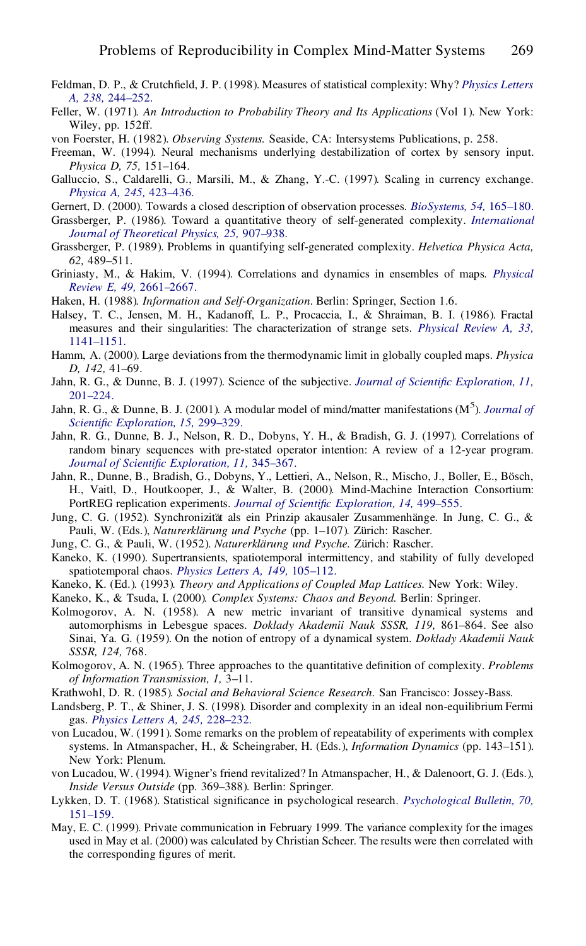- Feldman, D. P., & Crutchfield, J. P. (1998). Measures of statistical complexity: Why? *[Physics](http://rudolfo.ingentaselect.com/nw=1/rpsv/cgi-bin/linker?ext=a&reqidx=/0375-9601^28^29238L.244[aid=1949488]) Letters A, 238,* [244–252.](http://rudolfo.ingentaselect.com/nw=1/rpsv/cgi-bin/linker?ext=a&reqidx=/0375-9601^28^29238L.244[aid=1949488])
- Feller, W. (1971). *An Introduction to Probability Theory and Its Applications* (Vol 1). New York: Wiley, pp. 152ff.
- von Foerster, H. (1982). *Observing Systems.* Seaside, CA: Intersystems Publications, p. 258.
- Freeman, W. (1994). Neural mechanisms underlying destabilization of cortex by sensory input. *Physica D, 75,* 151–164.
- Galluccio, S., Caldarelli, G., Marsili, M., & Zhang, Y.-C. (1997). Scaling in currency exchange. *Physica A, 245,* [423–436.](http://rudolfo.ingentaselect.com/nw=1/rpsv/cgi-bin/linker?ext=a&reqidx=/0378-4371^28^29245L.423[aid=5053312])
- Gernert, D. (2000). Towards a closed description of observation processes. *[BioSystems,](http://rudolfo.ingentaselect.com/nw=1/rpsv/cgi-bin/linker?ext=a&reqidx=/0303-2647^28^2954L.165[aid=5053313]) 54,* 165–180.
- Grassberger, P. (1986). Toward a quantitative theory of self-generated complexity. *[International](http://rudolfo.ingentaselect.com/nw=1/rpsv/cgi-bin/linker?ext=a&reqidx=/0020-7748^28^2925L.907[aid=1949490]) Journal of [Theoretical](http://rudolfo.ingentaselect.com/nw=1/rpsv/cgi-bin/linker?ext=a&reqidx=/0020-7748^28^2925L.907[aid=1949490]) Physics, 25,* 907–938.
- Grassberger, P. (1989). Problems in quantifying self-generated complexity. *Helvetica Physica Acta, 62,* 489–511.
- Griniasty, M., & Hakim, V. (1994). Correlations and dynamics in ensembles of maps. *[Physical](http://rudolfo.ingentaselect.com/nw=1/rpsv/cgi-bin/linker?ext=a&reqidx=/1063-651X^28^2949L.2661[aid=5053315]) Review E,49,* [2661–2667.](http://rudolfo.ingentaselect.com/nw=1/rpsv/cgi-bin/linker?ext=a&reqidx=/1063-651X^28^2949L.2661[aid=5053315])
- Haken, H. (1988). *Information and Self-Organization.* Berlin: Springer, Section 1.6.
- Halsey, T. C., Jensen, M. H., Kadanoff, L. P., Procaccia, I., & Shraiman, B. I. (1986). Fractal measures and their singularities: The characterization of strange sets. *[Physical](http://rudolfo.ingentaselect.com/nw=1/rpsv/cgi-bin/linker?ext=a&reqidx=/1050-2947^28^2933L.1141[aid=569196]) Review A,33,* [1141–1151.](http://rudolfo.ingentaselect.com/nw=1/rpsv/cgi-bin/linker?ext=a&reqidx=/1050-2947^28^2933L.1141[aid=569196])
- Hamm, A. (2000). Large deviationsfrom the thermodynamic limit in globally coupled maps. *Physica D, 142,* 41–69.
- Jahn, R. G., & Dunne, B. J. (1997). Science of the subjective. *Journal of Scientific Exploration*, 11, [201–224.](http://rudolfo.ingentaselect.com/nw=1/rpsv/cgi-bin/linker?ext=a&reqidx=/0892-3310^28^2911L.201[aid=977055])
- Jahn, R. G., & Dunne, B. J. (2001). A modular model of mind/matter manifestations (M<sup>5</sup> ). *[Journal](http://rudolfo.ingentaselect.com/nw=1/rpsv/cgi-bin/linker?ext=a&reqidx=/0892-3310^28^2915L.299[aid=1927364]) of Scienti c [Exploration,](http://rudolfo.ingentaselect.com/nw=1/rpsv/cgi-bin/linker?ext=a&reqidx=/0892-3310^28^2915L.299[aid=1927364]) 15,* 299–329.
- Jahn, R. G., Dunne, B. J., Nelson, R. D., Dobyns, Y. H., & Bradish, G. J. (1997). Correlations of random binary sequences with pre-stated operator intention: A review of a 12-year program. *Journal of Scientific [Exploration,](http://rudolfo.ingentaselect.com/nw=1/rpsv/cgi-bin/linker?ext=a&reqidx=/0892-3310^28^2911L.345[aid=568911]) 11, 345-367.*
- Jahn, R., Dunne, B., Bradish, G., Dobyns, Y., Lettieri, A., Nelson, R., Mischo, J., Boller, E., Bösch, H., Vaitl, D., Houtkooper, J., & Walter, B. (2000). Mind-Machine Interaction Consortium: PortREG replication experiments. *Journal of Scientific [Exploration,](http://rudolfo.ingentaselect.com/nw=1/rpsv/cgi-bin/linker?ext=a&reqidx=/0892-3310^28^2914L.499[aid=1470931]) 14, 499-555.*
- Jung, C. G. (1952). Synchronizität als ein Prinzip akausaler Zusammenhänge. In Jung, C. G., & Pauli, W. (Eds.), *Naturerklärung und Psyche* (pp. 1–107). Zürich: Rascher.
- Jung, C. G., & Pauli, W. (1952). *Naturerkla¨rung und Psyche.* Zu¨rich: Rascher.
- Kaneko, K. (1990). Supertransients, spatiotemporal intermittency, and stability of fully developed spatiotemporal chaos. *Physics Letters A, 149,* [105–112.](http://rudolfo.ingentaselect.com/nw=1/rpsv/cgi-bin/linker?ext=a&reqidx=/0375-9601^28^29149L.105[aid=525002])
- Kaneko, K. (Ed.). (1993). *Theory and Applications of Coupled Map Lattices.* New York: Wiley.
- Kaneko, K., & Tsuda, I. (2000). *Complex Systems: Chaos and Beyond.* Berlin: Springer.
- Kolmogorov, A. N. (1958). A new metric invariant of transitive dynamical systems and automorphisms in Lebesgue spaces. *Doklady Akademii Nauk SSSR, 119,* 861–864. See also Sinai, Ya. G. (1959). On the notion of entropy of a dynamical system. *Doklady Akademii Nauk SSSR, 124,* 768.
- Kolmogorov, A. N. (1965). Three approaches to the quantitative definition of complexity. *Problems of Information Transmission, 1,* 3–11.
- Krathwohl, D. R. (1985). *Social and Behavioral Science Research.* San Francisco: Jossey-Bass.
- Landsberg, P. T., & Shiner, J. S. (1998). Disorder and complexity in an ideal non-equilibrium Fermi gas. *Physics Letters A, 245,* [228–232.](http://rudolfo.ingentaselect.com/nw=1/rpsv/cgi-bin/linker?ext=a&reqidx=/0375-9601^28^29245L.228[aid=5053317])
- von Lucadou, W. (1991). Some remarks on the problem of repeatability of experiments with complex systems. In Atmanspacher, H., & Scheingraber, H. (Eds.), *Information Dynamics* (pp. 143–151). New York: Plenum.
- von Lucadou, W. (1994). Wigner's friend revitalized? In Atmanspacher, H., & Dalenoort, G. J. (Eds.), *Inside Versus Outside* (pp. 369–388). Berlin: Springer.
- Lykken, D. T. (1968). Statistical significance in psychological research. *[Psychological](http://rudolfo.ingentaselect.com/nw=1/rpsv/cgi-bin/linker?ext=a&reqidx=/0033-2909^28^2970L.151[aid=26481]) Bulletin*, 70, [151–159.](http://rudolfo.ingentaselect.com/nw=1/rpsv/cgi-bin/linker?ext=a&reqidx=/0033-2909^28^2970L.151[aid=26481])
- May, E. C. (1999). Private communication in February 1999. The variance complexity for the images used in May et al. (2000) was calculated by Christian Scheer. The results were then correlated with the corresponding figures of merit.